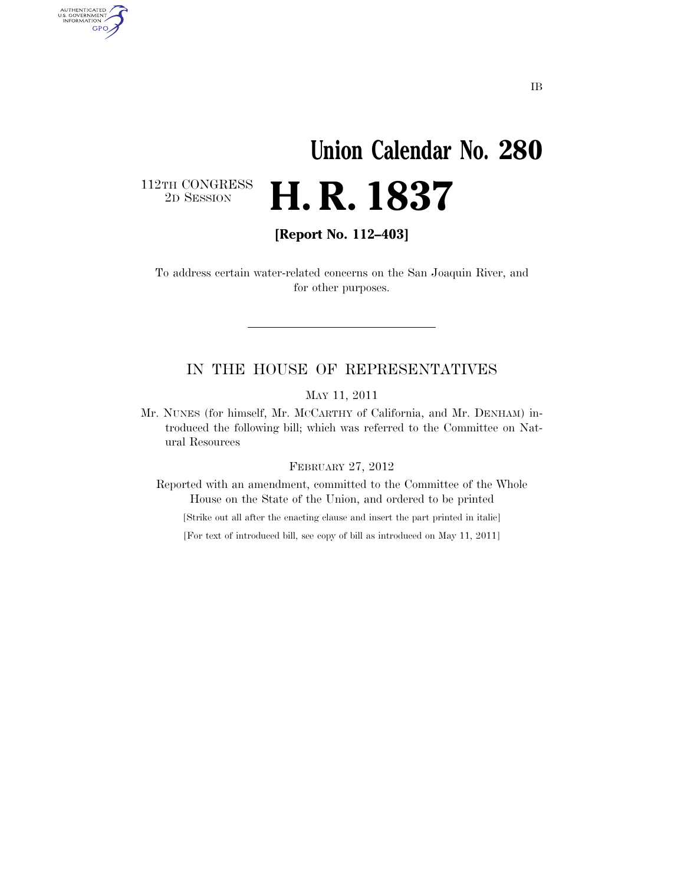# **Union Calendar No. 280**  2D SESSION **H. R. 1837**

112TH CONGRESS<br>2D SESSION

AUTHENTICATED<br>U.S. GOVERNMENT<br>INFORMATION GPO

**[Report No. 112–403]** 

To address certain water-related concerns on the San Joaquin River, and for other purposes.

### IN THE HOUSE OF REPRESENTATIVES

MAY 11, 2011

Mr. NUNES (for himself, Mr. MCCARTHY of California, and Mr. DENHAM) introduced the following bill; which was referred to the Committee on Natural Resources

### FEBRUARY 27, 2012

Reported with an amendment, committed to the Committee of the Whole House on the State of the Union, and ordered to be printed

[Strike out all after the enacting clause and insert the part printed in italic]

[For text of introduced bill, see copy of bill as introduced on May 11, 2011]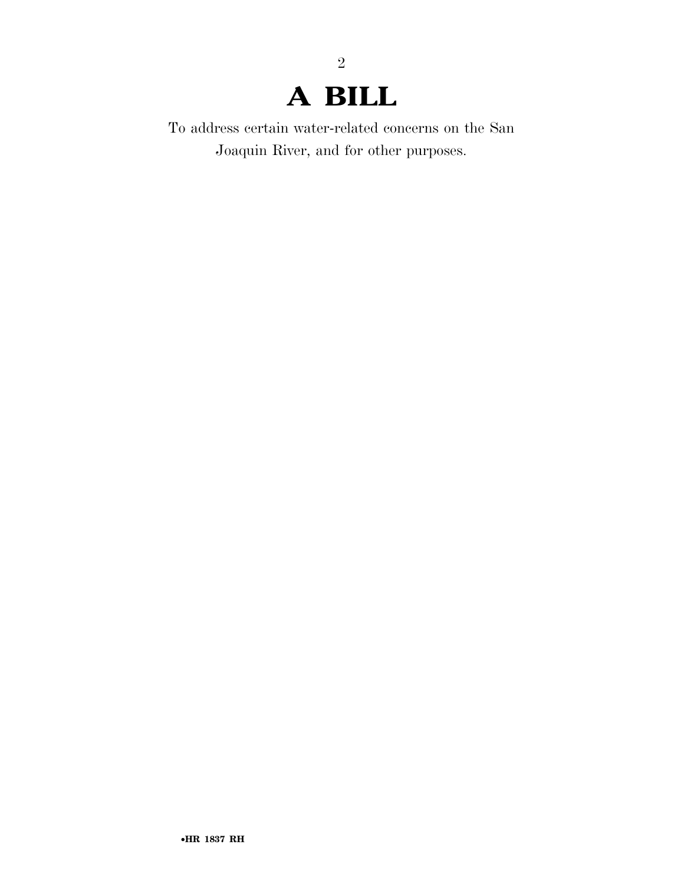## **A BILL**

2

To address certain water-related concerns on the San Joaquin River, and for other purposes.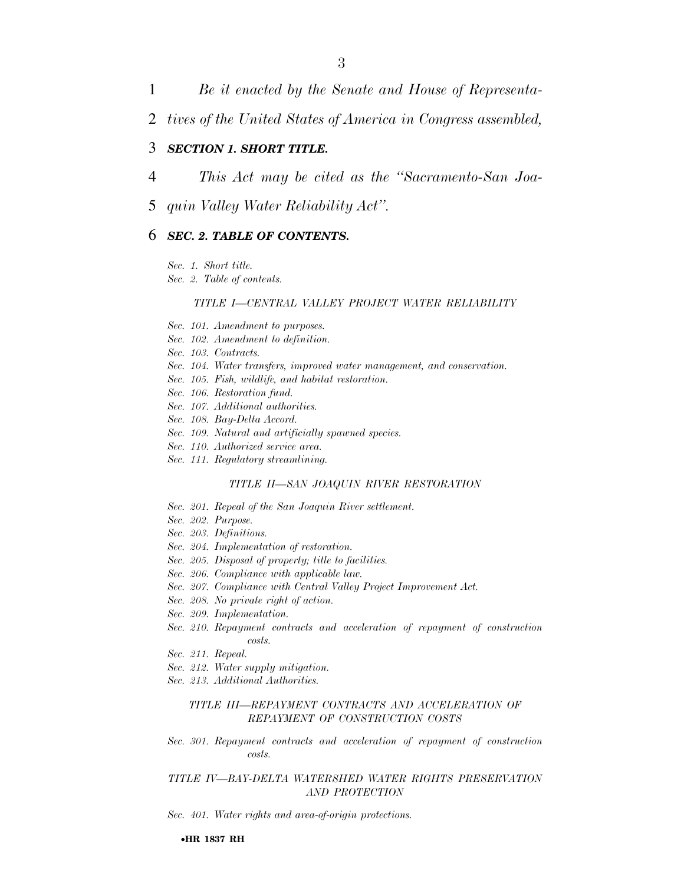1 *Be it enacted by the Senate and House of Representa-*

2 *tives of the United States of America in Congress assembled,* 

### 3 *SECTION 1. SHORT TITLE.*

- 4 *This Act may be cited as the ''Sacramento-San Joa-*
- 5 *quin Valley Water Reliability Act''.*

### 6 *SEC. 2. TABLE OF CONTENTS.*

*Sec. 1. Short title.* 

*Sec. 2. Table of contents.* 

#### *TITLE I—CENTRAL VALLEY PROJECT WATER RELIABILITY*

- *Sec. 101. Amendment to purposes.*
- *Sec. 102. Amendment to definition.*
- *Sec. 103. Contracts.*
- *Sec. 104. Water transfers, improved water management, and conservation.*
- *Sec. 105. Fish, wildlife, and habitat restoration.*
- *Sec. 106. Restoration fund.*
- *Sec. 107. Additional authorities.*
- *Sec. 108. Bay-Delta Accord.*
- *Sec. 109. Natural and artificially spawned species.*
- *Sec. 110. Authorized service area.*
- *Sec. 111. Regulatory streamlining.*

### *TITLE II—SAN JOAQUIN RIVER RESTORATION*

- *Sec. 201. Repeal of the San Joaquin River settlement.*
- *Sec. 202. Purpose.*
- *Sec. 203. Definitions.*
- *Sec. 204. Implementation of restoration.*
- *Sec. 205. Disposal of property; title to facilities.*
- *Sec. 206. Compliance with applicable law.*
- *Sec. 207. Compliance with Central Valley Project Improvement Act.*
- *Sec. 208. No private right of action.*
- *Sec. 209. Implementation.*
- *Sec. 210. Repayment contracts and acceleration of repayment of construction costs.*
- *Sec. 211. Repeal.*
- *Sec. 212. Water supply mitigation.*
- *Sec. 213. Additional Authorities.*

### *TITLE III—REPAYMENT CONTRACTS AND ACCELERATION OF REPAYMENT OF CONSTRUCTION COSTS*

*Sec. 301. Repayment contracts and acceleration of repayment of construction costs.* 

### *TITLE IV—BAY-DELTA WATERSHED WATER RIGHTS PRESERVATION AND PROTECTION*

*Sec. 401. Water rights and area-of-origin protections.*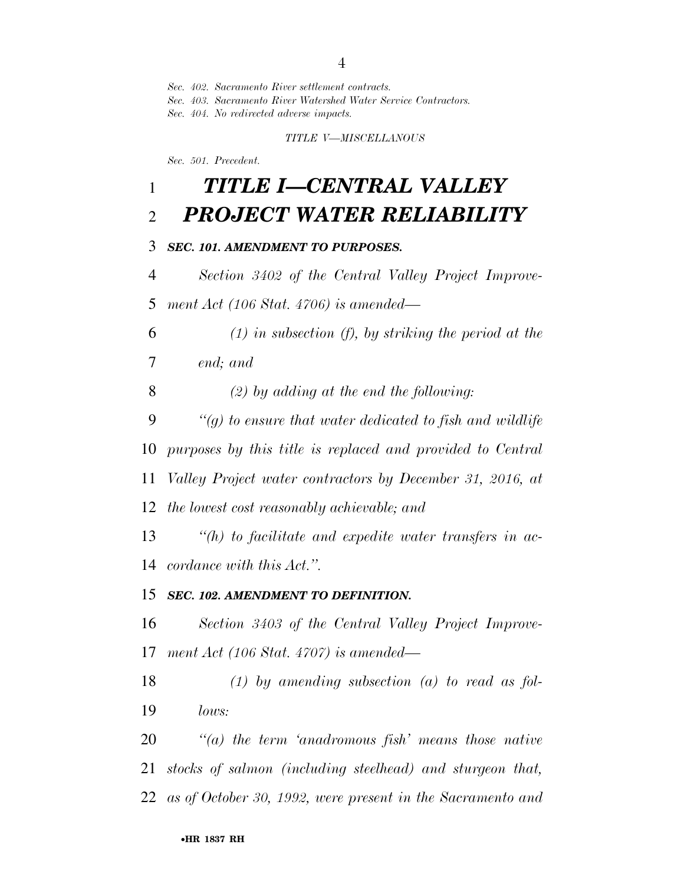*Sec. 402. Sacramento River settlement contracts.* 

*Sec. 403. Sacramento River Watershed Water Service Contractors.* 

*Sec. 404. No redirected adverse impacts.* 

*TITLE V—MISCELLANOUS* 

*Sec. 501. Precedent.* 

### *TITLE I—CENTRAL VALLEY PROJECT WATER RELIABILITY*

### *SEC. 101. AMENDMENT TO PURPOSES.*

 *Section 3402 of the Central Valley Project Improve-ment Act (106 Stat. 4706) is amended—* 

 *(1) in subsection (f), by striking the period at the end; and* 

*(2) by adding at the end the following:* 

 *''(g) to ensure that water dedicated to fish and wildlife purposes by this title is replaced and provided to Central Valley Project water contractors by December 31, 2016, at* 

*the lowest cost reasonably achievable; and* 

 *''(h) to facilitate and expedite water transfers in ac-cordance with this Act.''.* 

### *SEC. 102. AMENDMENT TO DEFINITION.*

 *Section 3403 of the Central Valley Project Improve-ment Act (106 Stat. 4707) is amended—* 

 *(1) by amending subsection (a) to read as fol-lows:* 

 *''(a) the term 'anadromous fish' means those native stocks of salmon (including steelhead) and sturgeon that, as of October 30, 1992, were present in the Sacramento and*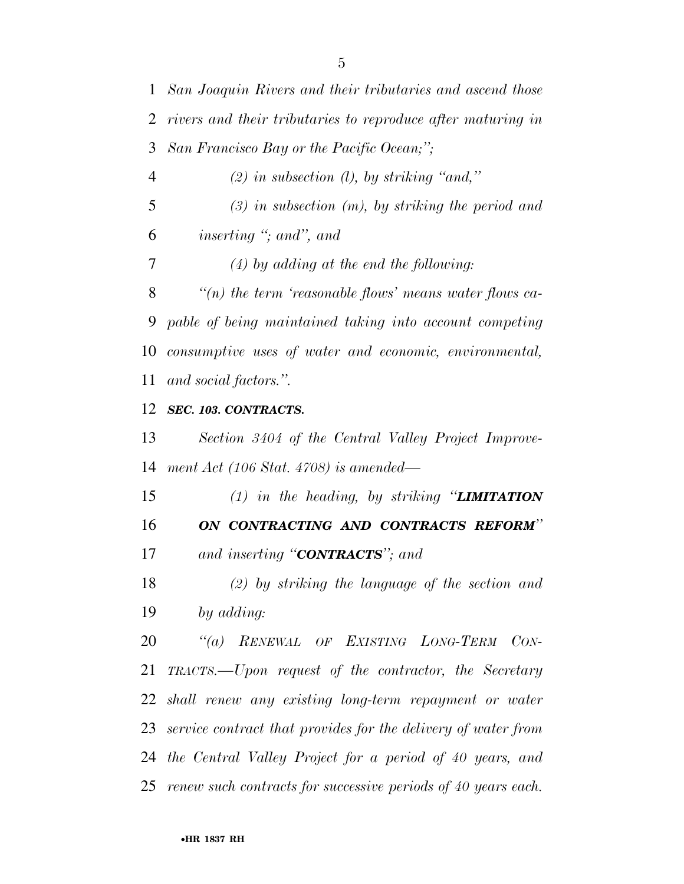*rivers and their tributaries to reproduce after maturing in San Francisco Bay or the Pacific Ocean;''; (2) in subsection (l), by striking ''and,'' (3) in subsection (m), by striking the period and inserting ''; and'', and (4) by adding at the end the following: ''(n) the term 'reasonable flows' means water flows ca- pable of being maintained taking into account competing consumptive uses of water and economic, environmental, and social factors.''. SEC. 103. CONTRACTS. Section 3404 of the Central Valley Project Improve- ment Act (106 Stat. 4708) is amended— (1) in the heading, by striking ''LIMITATION ON CONTRACTING AND CONTRACTS REFORM'' and inserting ''CONTRACTS''; and (2) by striking the language of the section and by adding: ''(a) RENEWAL OF EXISTING LONG-TERM CON- TRACTS.—Upon request of the contractor, the Secretary shall renew any existing long-term repayment or water service contract that provides for the delivery of water from the Central Valley Project for a period of 40 years, and renew such contracts for successive periods of 40 years each.* 

*San Joaquin Rivers and their tributaries and ascend those*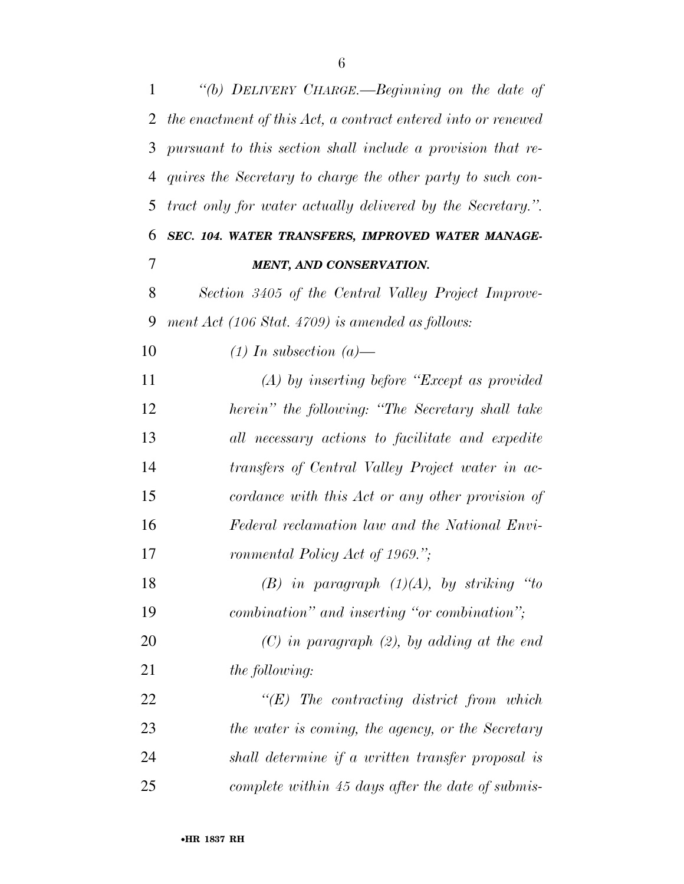| $\mathbf{1}$ | "(b) DELIVERY CHARGE.—Beginning on the date of                |
|--------------|---------------------------------------------------------------|
| 2            | the enactment of this Act, a contract entered into or renewed |
| 3            | pursuant to this section shall include a provision that re-   |
| 4            | quires the Secretary to charge the other party to such con-   |
| 5            | tract only for water actually delivered by the Secretary.".   |
| 6            | SEC. 104. WATER TRANSFERS, IMPROVED WATER MANAGE-             |
| 7            | <b>MENT, AND CONSERVATION.</b>                                |
| 8            | Section 3405 of the Central Valley Project Improve-           |
| 9            | ment $Act$ (106 Stat. 4709) is amended as follows:            |
| 10           | $(1)$ In subsection $(a)$ —                                   |
| 11           | $(A)$ by inserting before "Except as provided"                |
| 12           | herein" the following: "The Secretary shall take              |
| 13           | all necessary actions to facilitate and expedite              |
| 14           | transfers of Central Valley Project water in ac-              |
| 15           | cordance with this Act or any other provision of              |
| 16           | Federal reclamation law and the National Envi-                |
| 17           | ronmental Policy Act of 1969.";                               |
| 18           | $(B)$ in paragraph $(1)(A)$ , by striking "to                 |
| 19           | combination" and inserting "or combination";                  |
| 20           | $(C)$ in paragraph $(2)$ , by adding at the end               |
| 21           | <i>the following:</i>                                         |
| 22           | $\lq\lq (E)$ The contracting district from which              |
| 23           | the water is coming, the agency, or the Secretary             |
| 24           | shall determine if a written transfer proposal is             |
| 25           | complete within 45 days after the date of submis-             |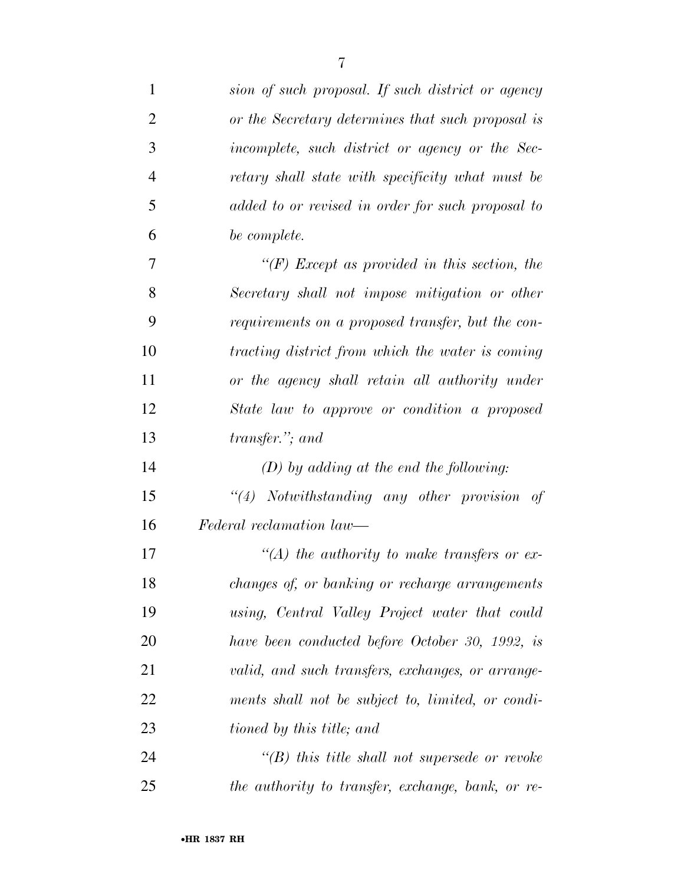| $\mathbf{1}$   | sion of such proposal. If such district or agency    |
|----------------|------------------------------------------------------|
| $\overline{2}$ | or the Secretary determines that such proposal is    |
| 3              | incomplete, such district or agency or the Sec-      |
| $\overline{4}$ | retary shall state with specificity what must be     |
| 5              | added to or revised in order for such proposal to    |
| 6              | be complete.                                         |
| 7              | " $(F)$ Except as provided in this section, the      |
| 8              | Secretary shall not impose mitigation or other       |
| 9              | requirements on a proposed transfer, but the con-    |
| 10             | tracting district from which the water is coming     |
| 11             | or the agency shall retain all authority under       |
| 12             | State law to approve or condition a proposed         |
| 13             | transfer."; and                                      |
| 14             | $(D)$ by adding at the end the following:            |
| 15             | "(4) Notwithstanding any other provision of          |
| 16             | Federal reclamation law—                             |
| 17             | $\lq (A)$ the authority to make transfers or ex-     |
| 18             | changes of, or banking or recharge arrangements      |
| 19             | using, Central Valley Project water that could       |
| 20             | have been conducted before October 30, 1992, is      |
| 21             | valid, and such transfers, exchanges, or arrange-    |
| 22             | ments shall not be subject to, limited, or condi-    |
| 23             | tioned by this title; and                            |
| 24             | $\lq\lq(B)$ this title shall not supersede or revoke |
| 25             | the authority to transfer, exchange, bank, or re-    |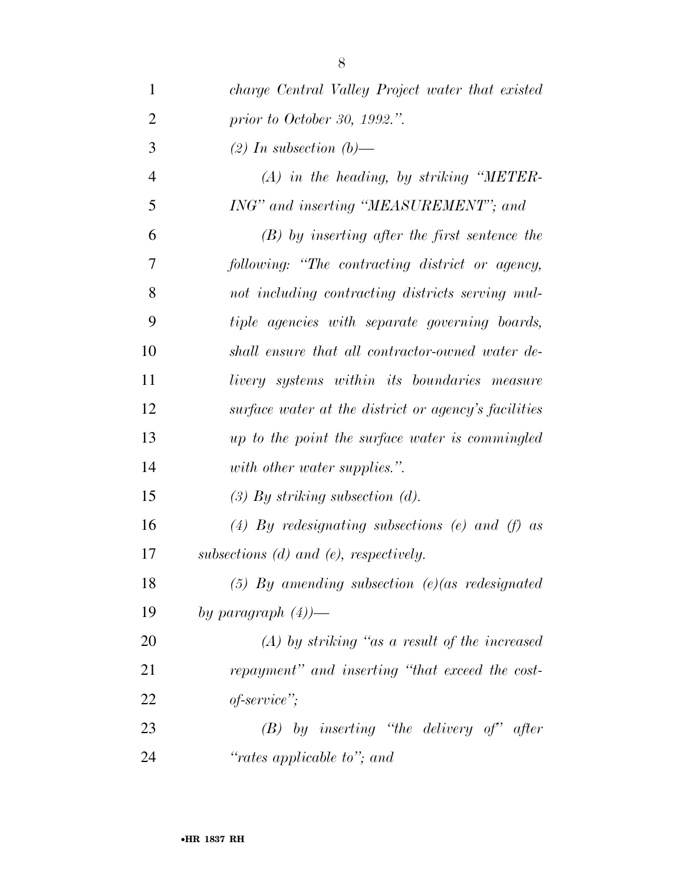| $\mathbf{1}$   | charge Central Valley Project water that existed     |
|----------------|------------------------------------------------------|
| $\overline{2}$ | prior to October 30, 1992.".                         |
| 3              | $(2)$ In subsection $(b)$ —                          |
| $\overline{4}$ | $(A)$ in the heading, by striking "METER-            |
| 5              | ING" and inserting "MEASUREMENT"; and                |
| 6              | $(B)$ by inserting after the first sentence the      |
| 7              | following: "The contracting district or agency,      |
| 8              | not including contracting districts serving mul-     |
| 9              | tiple agencies with separate governing boards,       |
| 10             | shall ensure that all contractor-owned water de-     |
| 11             | livery systems within its boundaries measure         |
| 12             | surface water at the district or agency's facilities |
| 13             | up to the point the surface water is commingled      |
| 14             | with other water supplies.".                         |
| 15             | $(3)$ By striking subsection $(d)$ .                 |
| 16             | (4) By redesignating subsections (e) and (f) as      |
| 17             | subsections $(d)$ and $(e)$ , respectively.          |
| 18             | $(5)$ By amending subsection $(e)(as$ redesignated   |
| 19             | by paragraph $(4)$ )—                                |
| 20             | $(A)$ by striking "as a result of the increased      |
| 21             | repayment" and inserting "that exceed the cost-      |
| 22             | $of\text{-}service\text{''};$                        |
| 23             | $(B)$ by inserting "the delivery of" after           |
| 24             | "rates applicable to"; and                           |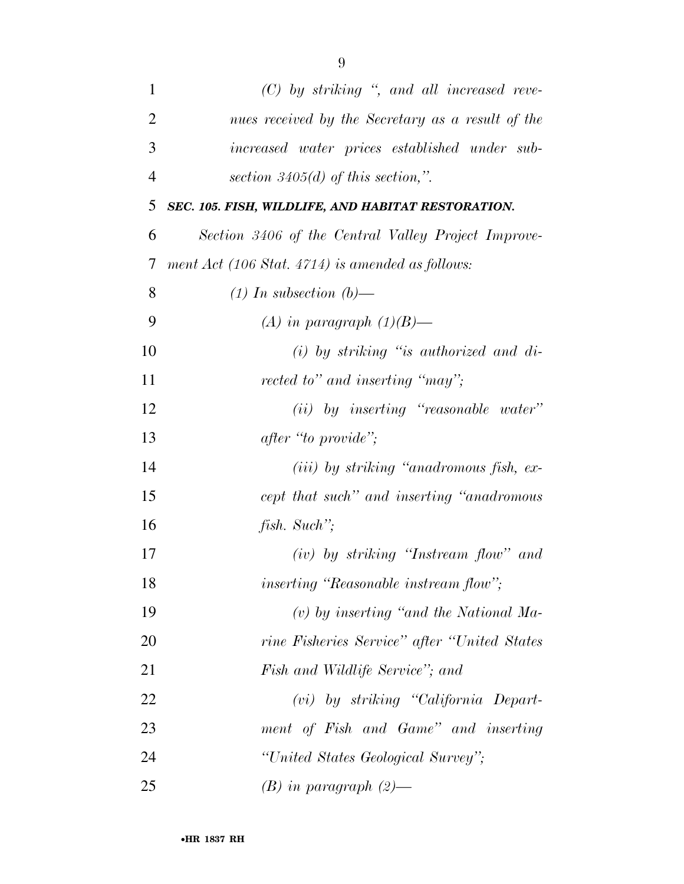| $\mathbf{1}$   | $(C)$ by striking ", and all increased reve-        |
|----------------|-----------------------------------------------------|
| $\overline{2}$ | nues received by the Secretary as a result of the   |
| 3              | increased water prices established under sub-       |
| $\overline{4}$ | section $3405(d)$ of this section,".                |
| 5              | SEC. 105. FISH, WILDLIFE, AND HABITAT RESTORATION.  |
| 6              | Section 3406 of the Central Valley Project Improve- |
| 7              | ment Act (106 Stat. 4714) is amended as follows:    |
| 8              | $(1)$ In subsection $(b)$ —                         |
| 9              | (A) in paragraph $(1)(B)$ —                         |
| 10             | $(i)$ by striking "is authorized and di-            |
| 11             | rected to" and inserting "may";                     |
| 12             | $(ii)$ by inserting "reasonable water"              |
| 13             | after "to provide";                                 |
| 14             | $(iii)$ by striking "anadromous fish, ex-           |
| 15             | cept that such" and inserting "anadromous"          |
| 16             | fish. Such";                                        |
| 17             | $(iv)$ by striking "Instream flow" and              |
| 18             | <i>inserting</i> "Reasonable instream flow";        |
| 19             | $(v)$ by inserting "and the National Ma-            |
| 20             | rine Fisheries Service" after "United States"       |
| 21             | Fish and Wildlife Service"; and                     |
| 22             | $(vi)$ by striking "California Depart-              |
| 23             | ment of Fish and Game" and inserting                |
| 24             | "United States Geological Survey";                  |
| 25             | $(B)$ in paragraph $(2)$ —                          |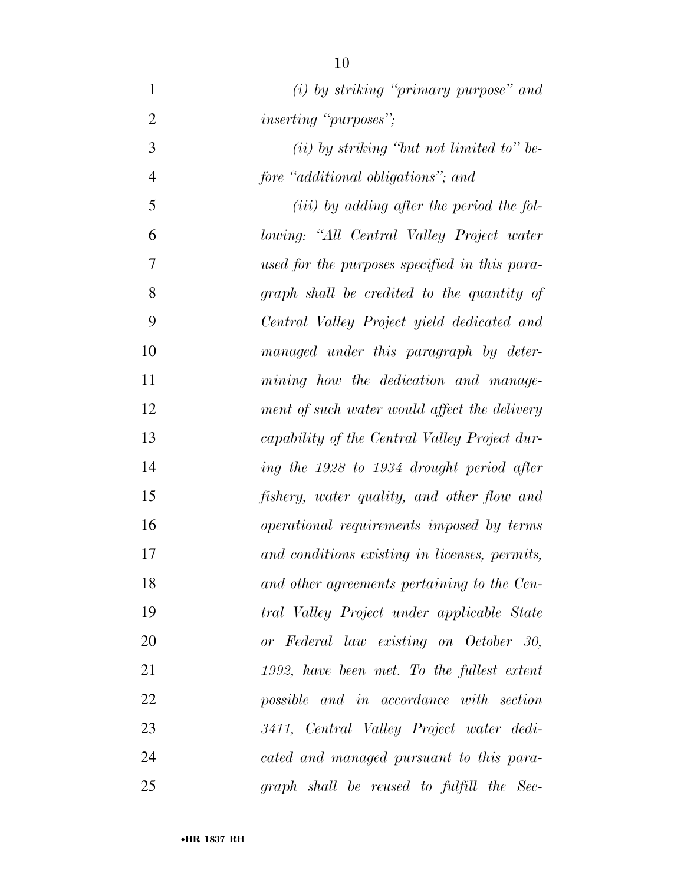*(i) by striking ''primary purpose'' and inserting ''purposes''; (ii) by striking ''but not limited to'' be- fore ''additional obligations''; and (iii) by adding after the period the fol- lowing: ''All Central Valley Project water used for the purposes specified in this para- graph shall be credited to the quantity of Central Valley Project yield dedicated and managed under this paragraph by deter- mining how the dedication and manage- ment of such water would affect the delivery capability of the Central Valley Project dur- ing the 1928 to 1934 drought period after fishery, water quality, and other flow and operational requirements imposed by terms and conditions existing in licenses, permits, and other agreements pertaining to the Cen- tral Valley Project under applicable State or Federal law existing on October 30, 1992, have been met. To the fullest extent possible and in accordance with section 3411, Central Valley Project water dedi- cated and managed pursuant to this para-graph shall be reused to fulfill the Sec-*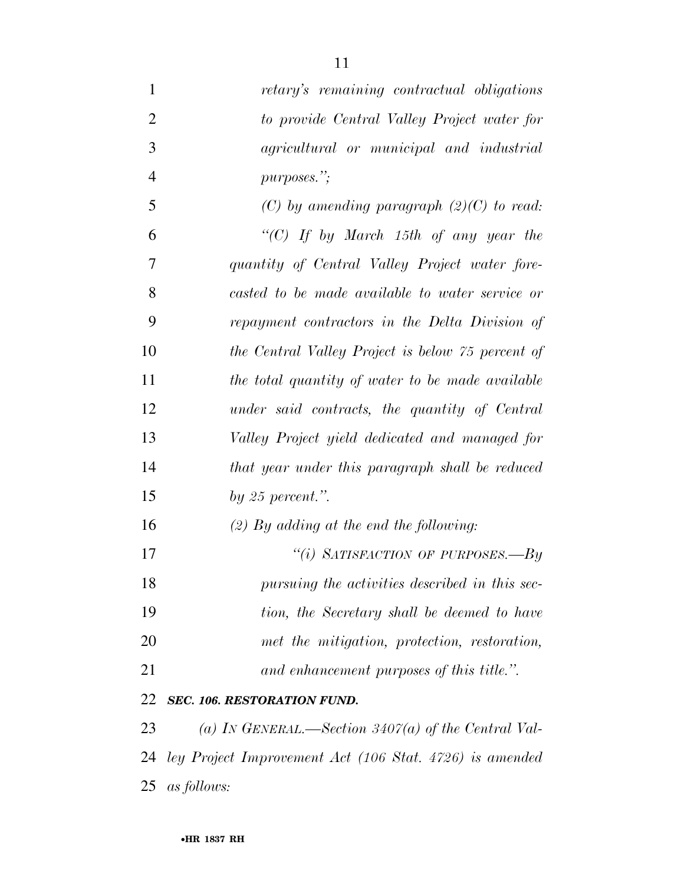| $\mathbf{1}$   | retary's remaining contractual obligations              |
|----------------|---------------------------------------------------------|
| $\overline{2}$ | to provide Central Valley Project water for             |
| 3              | agricultural or municipal and industrial                |
| $\overline{4}$ | purposes.";                                             |
| 5              | (C) by amending paragraph $(2)(C)$ to read:             |
| 6              | "(C) If by March 15th of any year the                   |
| 7              | quantity of Central Valley Project water fore-          |
| 8              | casted to be made available to water service or         |
| 9              | repayment contractors in the Delta Division of          |
| 10             | the Central Valley Project is below 75 percent of       |
| 11             | the total quantity of water to be made available        |
| 12             | under said contracts, the quantity of Central           |
| 13             | Valley Project yield dedicated and managed for          |
| 14             | that year under this paragraph shall be reduced         |
| 15             | by 25 percent.".                                        |
| 16             | $(2)$ By adding at the end the following:               |
| 17             | "(i) SATISFACTION OF PURPOSES.—By                       |
| 18             | pursuing the activities described in this sec-          |
| 19             | tion, the Secretary shall be deemed to have             |
| 20             | met the mitigation, protection, restoration,            |
| 21             | and enhancement purposes of this title.".               |
| 22             | SEC. 106. RESTORATION FUND.                             |
| 23             | (a) IN GENERAL.—Section 3407(a) of the Central Val-     |
| 24             | ley Project Improvement Act (106 Stat. 4726) is amended |
| 25             | <i>as follows:</i>                                      |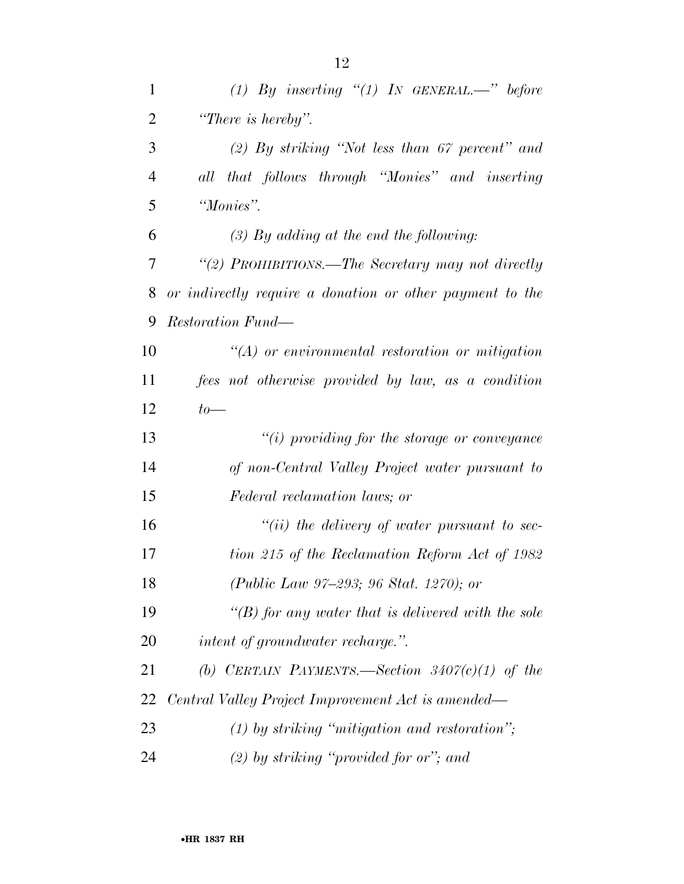| $\mathbf{1}$   | (1) By inserting $\degree$ (1) In GENERAL.—" before      |  |  |  |  |
|----------------|----------------------------------------------------------|--|--|--|--|
| $\overline{2}$ | "There is hereby".                                       |  |  |  |  |
| 3              | $(2)$ By striking "Not less than 67 percent" and         |  |  |  |  |
| $\overline{4}$ | all that follows through "Monies" and inserting          |  |  |  |  |
| 5              | "Monies".                                                |  |  |  |  |
| 6              | $(3)$ By adding at the end the following:                |  |  |  |  |
| 7              | "(2) PROHIBITIONS.—The Secretary may not directly        |  |  |  |  |
| 8              | or indirectly require a donation or other payment to the |  |  |  |  |
| 9              | Restoration Fund—                                        |  |  |  |  |
| 10             | $\lq (A)$ or environmental restoration or mitigation     |  |  |  |  |
| 11             | fees not otherwise provided by law, as a condition       |  |  |  |  |
| 12             | $to-$                                                    |  |  |  |  |
| 13             | $``(i)$ providing for the storage or conveyance          |  |  |  |  |
| 14             | of non-Central Valley Project water pursuant to          |  |  |  |  |
| 15             | Federal reclamation laws; or                             |  |  |  |  |
| 16             | $``(ii)$ the delivery of water pursuant to sec-          |  |  |  |  |
| 17             | tion 215 of the Reclamation Reform Act of 1982           |  |  |  |  |
| 18             | (Public Law 97-293; 96 Stat. 1270); or                   |  |  |  |  |
| 19             | "(B) for any water that is delivered with the sole       |  |  |  |  |
| 20             | <i>intent of groundwater recharge.</i> ".                |  |  |  |  |
| 21             | (b) CERTAIN PAYMENTS.—Section $3407(c)(1)$ of the        |  |  |  |  |
| 22             | Central Valley Project Improvement Act is amended—       |  |  |  |  |
| 23             | $(1)$ by striking "mitigation and restoration";          |  |  |  |  |
| 24             | $(2)$ by striking "provided for or"; and                 |  |  |  |  |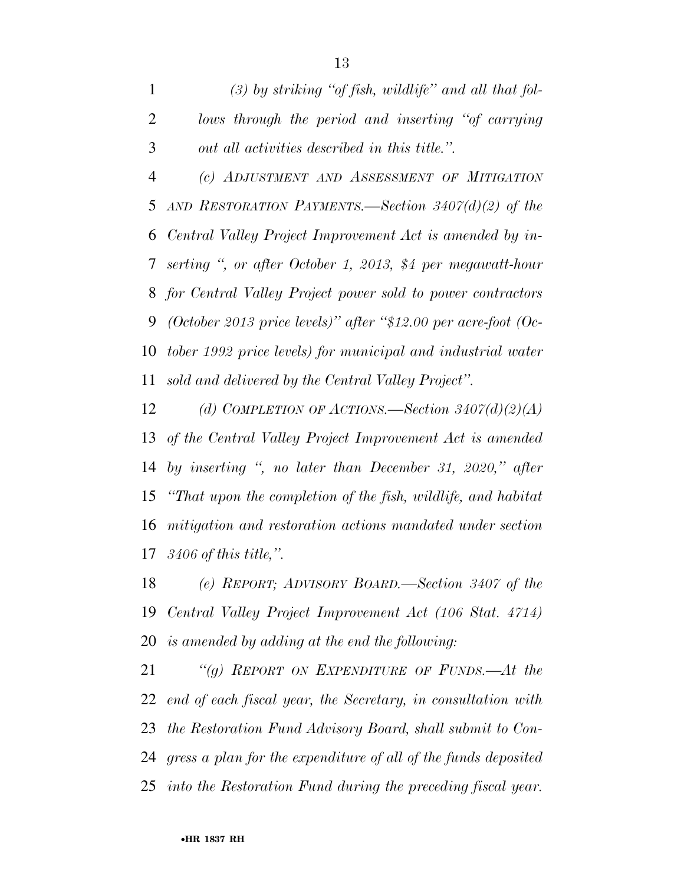*(3) by striking ''of fish, wildlife'' and all that fol- lows through the period and inserting ''of carrying out all activities described in this title.''.* 

 *(c) ADJUSTMENT AND ASSESSMENT OF MITIGATION AND RESTORATION PAYMENTS.—Section 3407(d)(2) of the Central Valley Project Improvement Act is amended by in- serting '', or after October 1, 2013, \$4 per megawatt-hour for Central Valley Project power sold to power contractors (October 2013 price levels)'' after ''\$12.00 per acre-foot (Oc- tober 1992 price levels) for municipal and industrial water sold and delivered by the Central Valley Project''.* 

 *(d) COMPLETION OF ACTIONS.—Section 3407(d)(2)(A) of the Central Valley Project Improvement Act is amended by inserting '', no later than December 31, 2020,'' after ''That upon the completion of the fish, wildlife, and habitat mitigation and restoration actions mandated under section 3406 of this title,''.* 

 *(e) REPORT; ADVISORY BOARD.—Section 3407 of the Central Valley Project Improvement Act (106 Stat. 4714) is amended by adding at the end the following:* 

 *''(g) REPORT ON EXPENDITURE OF FUNDS.—At the end of each fiscal year, the Secretary, in consultation with the Restoration Fund Advisory Board, shall submit to Con- gress a plan for the expenditure of all of the funds deposited into the Restoration Fund during the preceding fiscal year.*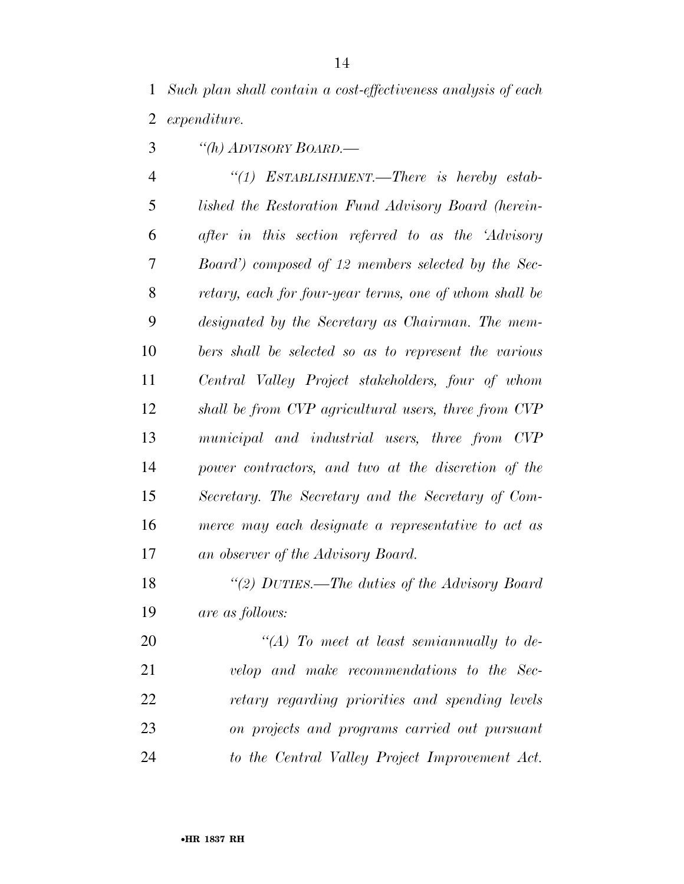*Such plan shall contain a cost-effectiveness analysis of each expenditure.* 

*''(h) ADVISORY BOARD.—* 

 *''(1) ESTABLISHMENT.—There is hereby estab- lished the Restoration Fund Advisory Board (herein- after in this section referred to as the 'Advisory Board') composed of 12 members selected by the Sec- retary, each for four-year terms, one of whom shall be designated by the Secretary as Chairman. The mem- bers shall be selected so as to represent the various Central Valley Project stakeholders, four of whom shall be from CVP agricultural users, three from CVP municipal and industrial users, three from CVP power contractors, and two at the discretion of the Secretary. The Secretary and the Secretary of Com- merce may each designate a representative to act as an observer of the Advisory Board.* 

 *''(2) DUTIES.—The duties of the Advisory Board are as follows:* 

 *''(A) To meet at least semiannually to de- velop and make recommendations to the Sec- retary regarding priorities and spending levels on projects and programs carried out pursuant to the Central Valley Project Improvement Act.*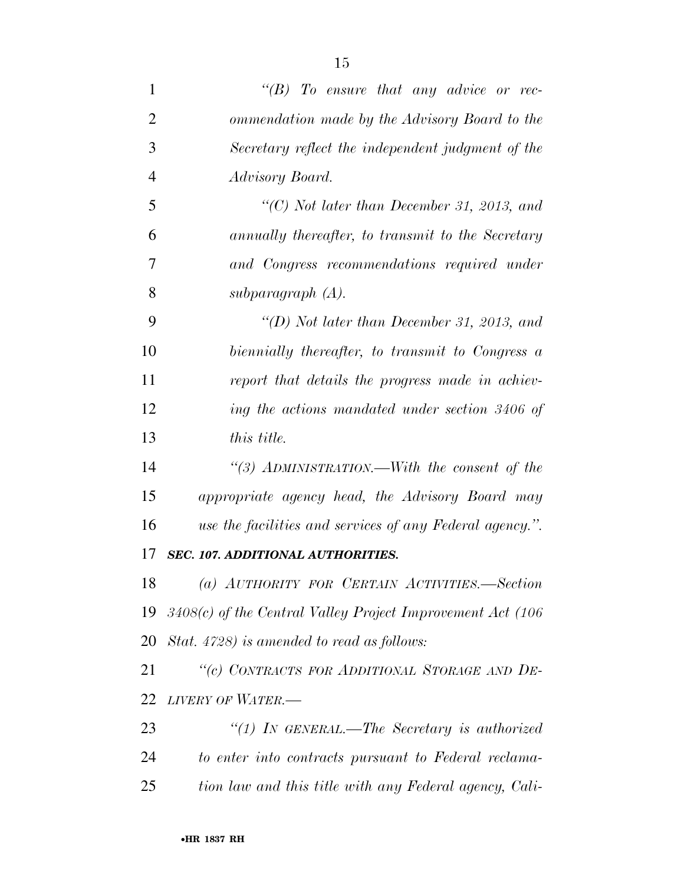| $\overline{2}$ | ommendation made by the Advisory Board to the                    |  |  |  |  |
|----------------|------------------------------------------------------------------|--|--|--|--|
| 3              | Secretary reflect the independent judgment of the                |  |  |  |  |
| $\overline{4}$ | Advisory Board.                                                  |  |  |  |  |
| 5              | "(C) Not later than December 31, 2013, and                       |  |  |  |  |
| 6              | annually thereafter, to transmit to the Secretary                |  |  |  |  |
| 7              | and Congress recommendations required under                      |  |  |  |  |
| 8              | subparagraph (A).                                                |  |  |  |  |
| 9              | "(D) Not later than December 31, 2013, and                       |  |  |  |  |
| 10             | biennially thereafter, to transmit to Congress a                 |  |  |  |  |
| 11             | report that details the progress made in achiev-                 |  |  |  |  |
| 12             | ing the actions mandated under section 3406 of                   |  |  |  |  |
| 13             | this title.                                                      |  |  |  |  |
| 14             | "(3) ADMINISTRATION.—With the consent of the                     |  |  |  |  |
| 15             | appropriate agency head, the Advisory Board may                  |  |  |  |  |
| 16             | use the facilities and services of any Federal agency.".         |  |  |  |  |
| 17             | SEC. 107. ADDITIONAL AUTHORITIES.                                |  |  |  |  |
| 18             | (a) AUTHORITY FOR CERTAIN ACTIVITIES.—Section                    |  |  |  |  |
|                | 19 $3408(c)$ of the Central Valley Project Improvement Act (106) |  |  |  |  |
| 20             | Stat. 4728) is amended to read as follows:                       |  |  |  |  |
| 21             | "(c) CONTRACTS FOR ADDITIONAL STORAGE AND DE-                    |  |  |  |  |
| 22             | LIVERY OF WATER.-                                                |  |  |  |  |
| 23             | "(1) In GENERAL.—The Secretary is authorized                     |  |  |  |  |
| 24             | to enter into contracts pursuant to Federal reclama-             |  |  |  |  |
| 25             | tion law and this title with any Federal agency, Cali-           |  |  |  |  |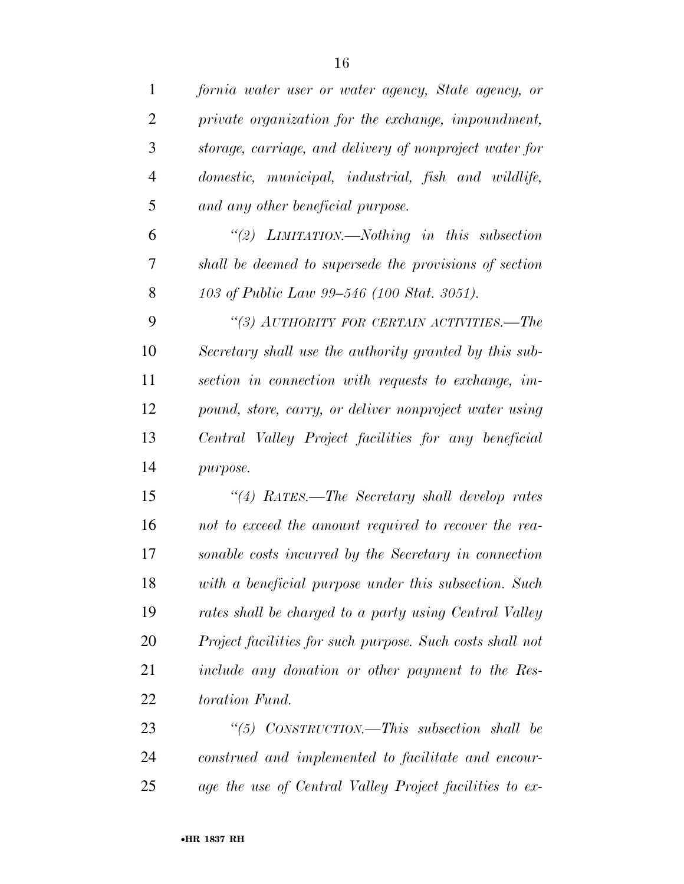| $\mathbf{1}$   | fornia water user or water agency, State agency, or       |
|----------------|-----------------------------------------------------------|
| $\overline{2}$ | private organization for the exchange, impoundment,       |
| 3              | storage, carriage, and delivery of nonproject water for   |
| $\overline{4}$ | domestic, municipal, industrial, fish and wildlife,       |
| 5              | and any other beneficial purpose.                         |
| 6              | "(2) LIMITATION.—Nothing in this subsection               |
| 7              | shall be deemed to supersede the provisions of section    |
| 8              | 103 of Public Law 99–546 (100 Stat. 3051).                |
| 9              | "(3) AUTHORITY FOR CERTAIN ACTIVITIES.—The                |
| 10             | Secretary shall use the authority granted by this sub-    |
| 11             | section in connection with requests to exchange, im-      |
| 12             | pound, store, carry, or deliver nonproject water using    |
| 13             | Central Valley Project facilities for any beneficial      |
| 14             | purpose.                                                  |
| 15             | "(4) RATES.—The Secretary shall develop rates             |
| 16             | not to exceed the amount required to recover the rea-     |
| 17             | sonable costs incurred by the Secretary in connection     |
| 18             | with a beneficial purpose under this subsection. Such     |
| 19             | rates shall be charged to a party using Central Valley    |
| 20             | Project facilities for such purpose. Such costs shall not |
| 21             | include any donation or other payment to the Res-         |
| 22             | toration Fund.                                            |
| 23             | "(5) $CONSTRUCTION.$ —This subsection shall be            |
| 24             | construed and implemented to facilitate and encour-       |
| 25             | age the use of Central Valley Project facilities to ex-   |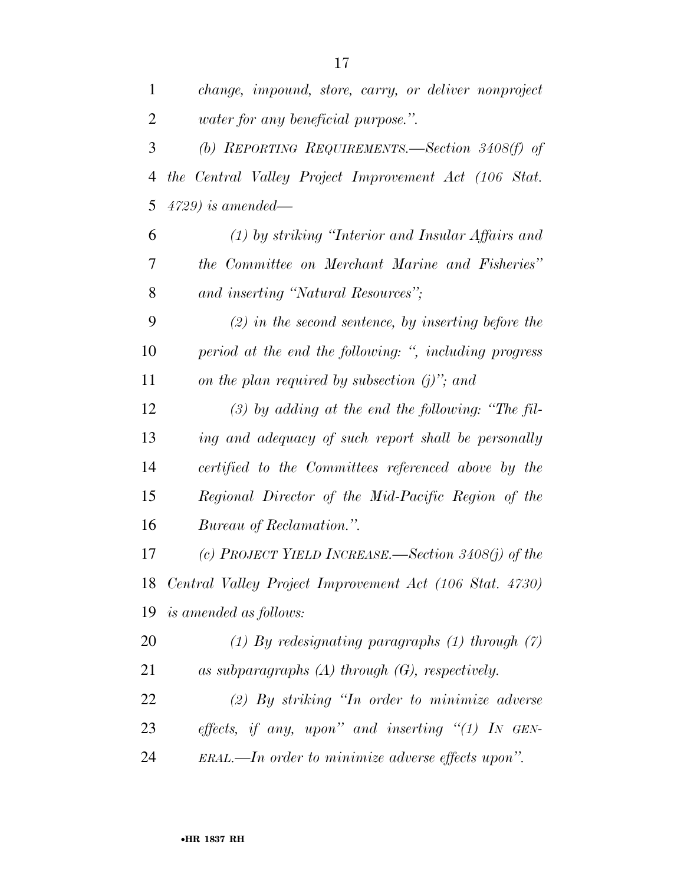| $\mathbf{1}$   | change, impound, store, carry, or deliver nonproject       |  |  |  |  |
|----------------|------------------------------------------------------------|--|--|--|--|
| $\overline{2}$ | <i>vater for any beneficial purpose.</i> ".                |  |  |  |  |
| 3              | (b) REPORTING REQUIREMENTS.—Section 3408(f) of             |  |  |  |  |
| 4              | the Central Valley Project Improvement Act (106 Stat.      |  |  |  |  |
| 5              | $4729$ ) is amended—                                       |  |  |  |  |
| 6              | (1) by striking "Interior and Insular Affairs and          |  |  |  |  |
| 7              | the Committee on Merchant Marine and Fisheries"            |  |  |  |  |
| 8              | and inserting "Natural Resources";                         |  |  |  |  |
| 9              | $(2)$ in the second sentence, by inserting before the      |  |  |  |  |
| 10             | period at the end the following: ", including progress     |  |  |  |  |
| 11             | on the plan required by subsection $(j)$ "; and            |  |  |  |  |
| 12             | $(3)$ by adding at the end the following: "The fil-        |  |  |  |  |
| 13             | ing and adequacy of such report shall be personally        |  |  |  |  |
| 14             | certified to the Committees referenced above by the        |  |  |  |  |
| 15             | Regional Director of the Mid-Pacific Region of the         |  |  |  |  |
| 16             | Bureau of Reclamation.".                                   |  |  |  |  |
| 17             | (c) PROJECT YIELD INCREASE.—Section 3408(j) of the         |  |  |  |  |
|                | 18 Central Valley Project Improvement Act (106 Stat. 4730) |  |  |  |  |
|                | 19 is amended as follows:                                  |  |  |  |  |
| 20             | (1) By redesignating paragraphs $(1)$ through $(7)$        |  |  |  |  |
| 21             | as subparagraphs $(A)$ through $(G)$ , respectively.       |  |  |  |  |
| 22             | $(2)$ By striking "In order to minimize adverse"           |  |  |  |  |
| 23             | effects, if any, upon" and inserting " $(1)$ IN GEN-       |  |  |  |  |
| 24             | ERAL.—In order to minimize adverse effects upon".          |  |  |  |  |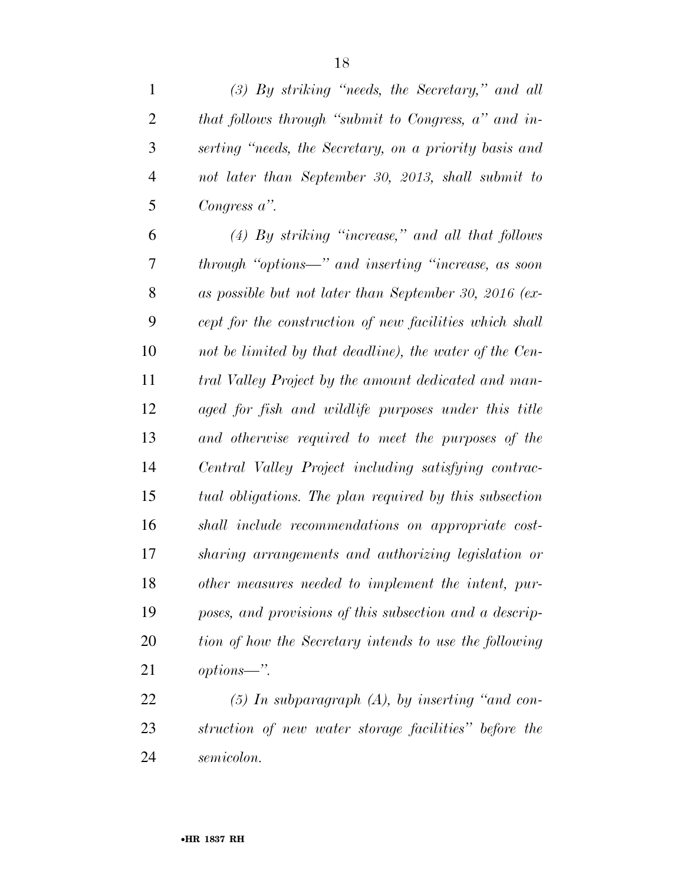*(3) By striking ''needs, the Secretary,'' and all* 

| that follows through "submit to Congress, a" and in-    |
|---------------------------------------------------------|
| serting "needs, the Secretary, on a priority basis and  |
| not later than September 30, 2013, shall submit to      |
| Congress $a$ ".                                         |
| $(4)$ By striking "increase," and all that follows      |
| through "options—" and inserting "increase, as soon     |
| as possible but not later than September 30, 2016 (ex-  |
| cept for the construction of new facilities which shall |
| not be limited by that deadline), the water of the Cen- |
| tral Valley Project by the amount dedicated and man-    |
| aged for fish and wildlife purposes under this title    |
| and otherwise required to meet the purposes of the      |
| Central Valley Project including satisfying contrac-    |
| tual obligations. The plan required by this subsection  |
| shall include recommendations on appropriate cost-      |
| sharing arrangements and authorizing legislation or     |
| other measures needed to implement the intent, pur-     |
| poses, and provisions of this subsection and a descrip- |
| tion of how the Secretary intends to use the following  |
| options—".                                              |
| $(5)$ In subparagraph $(A)$ , by inserting "and con-    |
| struction of new water storage facilities" before the   |
|                                                         |

*semicolon.*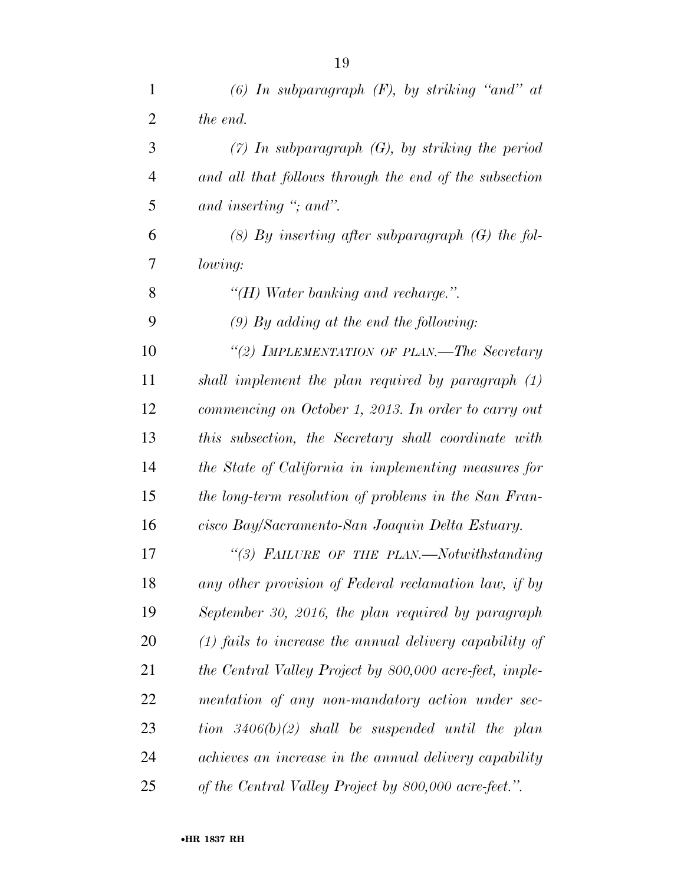| $\mathbf{1}$   | (6) In subparagraph $(F)$ , by striking "and" at          |
|----------------|-----------------------------------------------------------|
| $\overline{2}$ | the end.                                                  |
| 3              | $(7)$ In subparagraph $(G)$ , by striking the period      |
| 4              | and all that follows through the end of the subsection    |
| 5              | and inserting $\degree$ ; and".                           |
| 6              | $(8)$ By inserting after subparagraph $(G)$ the fol-      |
| 7              | lowing:                                                   |
| 8              | $H$ ) Water banking and recharge.".                       |
| 9              | $(9)$ By adding at the end the following:                 |
| 10             | "(2) IMPLEMENTATION OF PLAN.—The Secretary                |
| 11             | shall implement the plan required by paragraph (1)        |
| 12             | commencing on October 1, 2013. In order to carry out      |
| 13             | this subsection, the Secretary shall coordinate with      |
| 14             | the State of California in implementing measures for      |
| 15             | the long-term resolution of problems in the San Fran-     |
| 16             | cisco Bay/Sacramento-San Joaquin Delta Estuary.           |
| 17             | "(3) FAILURE OF THE PLAN.—Notwithstanding                 |
| 18             | any other provision of Federal reclamation law, if by     |
| 19             | September 30, 2016, the plan required by paragraph        |
| 20             | $(1)$ fails to increase the annual delivery capability of |
| 21             | the Central Valley Project by 800,000 acre-feet, imple-   |
| 22             | mentation of any non-mandatory action under sec-          |
| 23             | tion $3406(b)(2)$ shall be suspended until the plan       |
| 24             | achieves an increase in the annual delivery capability    |
| 25             | of the Central Valley Project by 800,000 acre-feet.".     |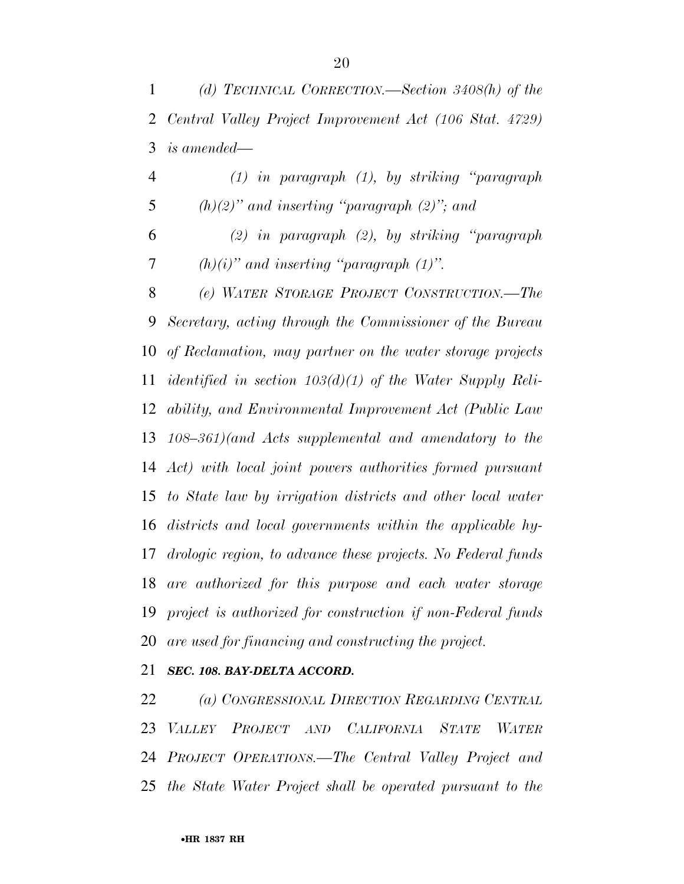| 4 | $(1)$ in paragraph $(1)$ , by striking "paragraph" |  |
|---|----------------------------------------------------|--|
|   | $(h)(2)$ " and inserting "paragraph $(2)$ "; and   |  |

 *(2) in paragraph (2), by striking ''paragraph (h)(i)'' and inserting ''paragraph (1)''.* 

 *(e) WATER STORAGE PROJECT CONSTRUCTION.—The Secretary, acting through the Commissioner of the Bureau of Reclamation, may partner on the water storage projects identified in section 103(d)(1) of the Water Supply Reli- ability, and Environmental Improvement Act (Public Law 108–361)(and Acts supplemental and amendatory to the Act) with local joint powers authorities formed pursuant to State law by irrigation districts and other local water districts and local governments within the applicable hy- drologic region, to advance these projects. No Federal funds are authorized for this purpose and each water storage project is authorized for construction if non-Federal funds are used for financing and constructing the project.* 

### *SEC. 108. BAY-DELTA ACCORD.*

 *(a) CONGRESSIONAL DIRECTION REGARDING CENTRAL VALLEY PROJECT AND CALIFORNIA STATE WATER PROJECT OPERATIONS.—The Central Valley Project and the State Water Project shall be operated pursuant to the*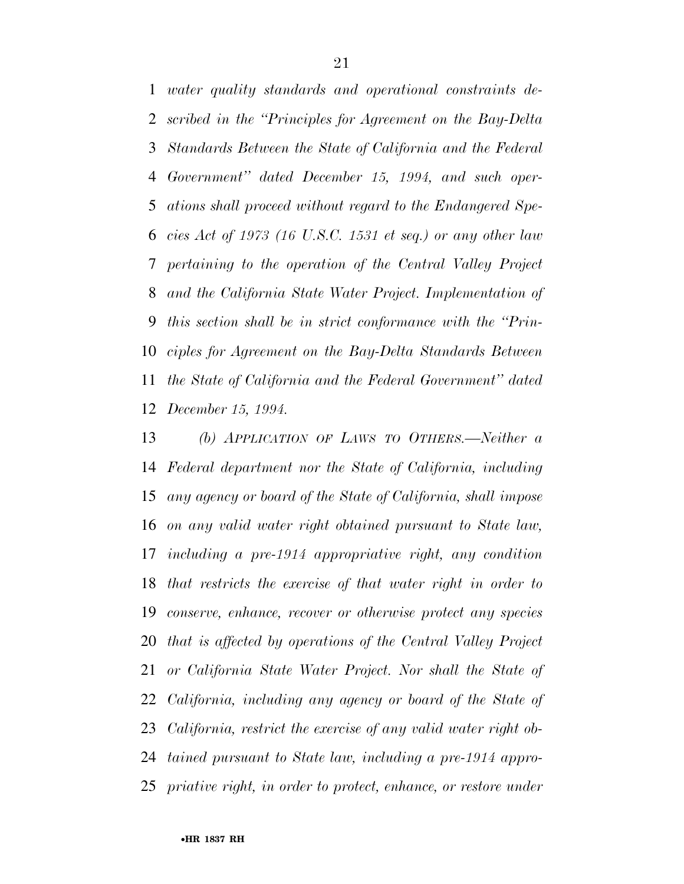*water quality standards and operational constraints de- scribed in the ''Principles for Agreement on the Bay-Delta Standards Between the State of California and the Federal Government'' dated December 15, 1994, and such oper- ations shall proceed without regard to the Endangered Spe- cies Act of 1973 (16 U.S.C. 1531 et seq.) or any other law pertaining to the operation of the Central Valley Project and the California State Water Project. Implementation of this section shall be in strict conformance with the ''Prin- ciples for Agreement on the Bay-Delta Standards Between the State of California and the Federal Government'' dated December 15, 1994.* 

 *(b) APPLICATION OF LAWS TO OTHERS.—Neither a Federal department nor the State of California, including any agency or board of the State of California, shall impose on any valid water right obtained pursuant to State law, including a pre-1914 appropriative right, any condition that restricts the exercise of that water right in order to conserve, enhance, recover or otherwise protect any species that is affected by operations of the Central Valley Project or California State Water Project. Nor shall the State of California, including any agency or board of the State of California, restrict the exercise of any valid water right ob- tained pursuant to State law, including a pre-1914 appro-priative right, in order to protect, enhance, or restore under*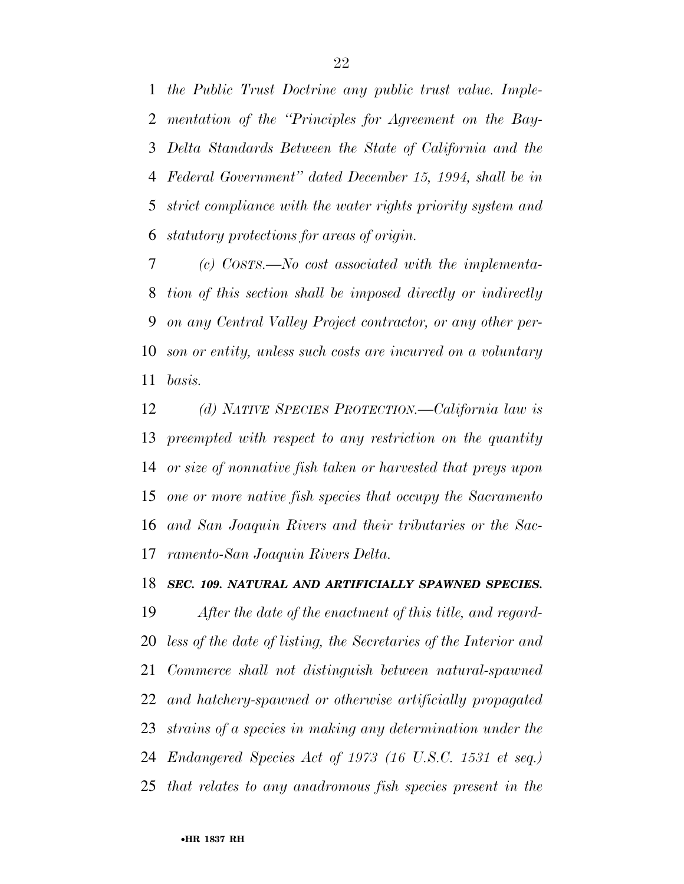*the Public Trust Doctrine any public trust value. Imple- mentation of the ''Principles for Agreement on the Bay- Delta Standards Between the State of California and the Federal Government'' dated December 15, 1994, shall be in strict compliance with the water rights priority system and statutory protections for areas of origin.* 

 *(c) COSTS.—No cost associated with the implementa- tion of this section shall be imposed directly or indirectly on any Central Valley Project contractor, or any other per- son or entity, unless such costs are incurred on a voluntary basis.* 

 *(d) NATIVE SPECIES PROTECTION.—California law is preempted with respect to any restriction on the quantity or size of nonnative fish taken or harvested that preys upon one or more native fish species that occupy the Sacramento and San Joaquin Rivers and their tributaries or the Sac-ramento-San Joaquin Rivers Delta.* 

### *SEC. 109. NATURAL AND ARTIFICIALLY SPAWNED SPECIES.*

 *After the date of the enactment of this title, and regard- less of the date of listing, the Secretaries of the Interior and Commerce shall not distinguish between natural-spawned and hatchery-spawned or otherwise artificially propagated strains of a species in making any determination under the Endangered Species Act of 1973 (16 U.S.C. 1531 et seq.) that relates to any anadromous fish species present in the*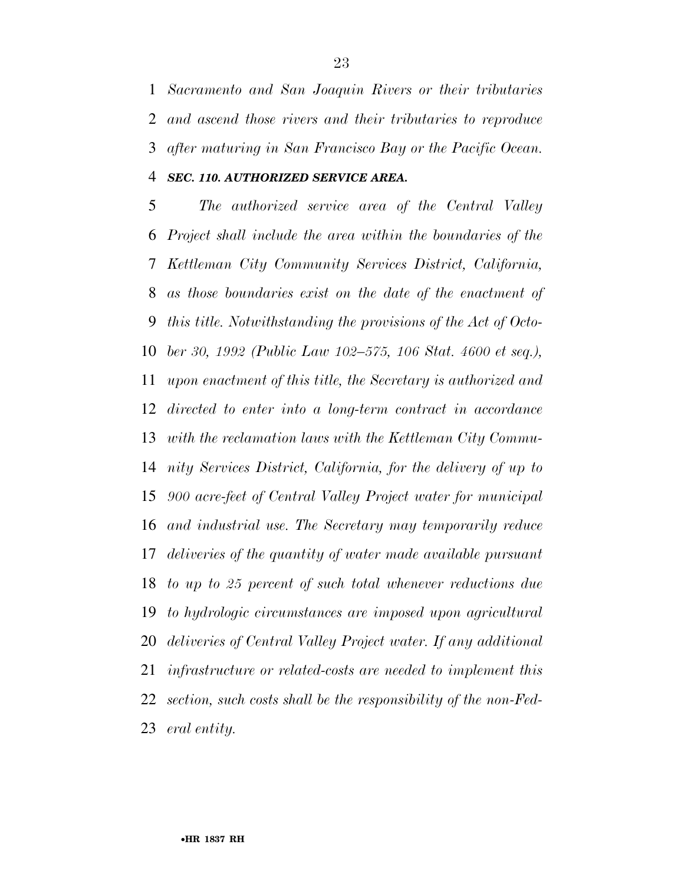*Sacramento and San Joaquin Rivers or their tributaries and ascend those rivers and their tributaries to reproduce after maturing in San Francisco Bay or the Pacific Ocean. SEC. 110. AUTHORIZED SERVICE AREA.* 

 *The authorized service area of the Central Valley Project shall include the area within the boundaries of the Kettleman City Community Services District, California, as those boundaries exist on the date of the enactment of this title. Notwithstanding the provisions of the Act of Octo- ber 30, 1992 (Public Law 102–575, 106 Stat. 4600 et seq.), upon enactment of this title, the Secretary is authorized and directed to enter into a long-term contract in accordance with the reclamation laws with the Kettleman City Commu- nity Services District, California, for the delivery of up to 900 acre-feet of Central Valley Project water for municipal and industrial use. The Secretary may temporarily reduce deliveries of the quantity of water made available pursuant to up to 25 percent of such total whenever reductions due to hydrologic circumstances are imposed upon agricultural deliveries of Central Valley Project water. If any additional infrastructure or related-costs are needed to implement this section, such costs shall be the responsibility of the non-Fed-eral entity.*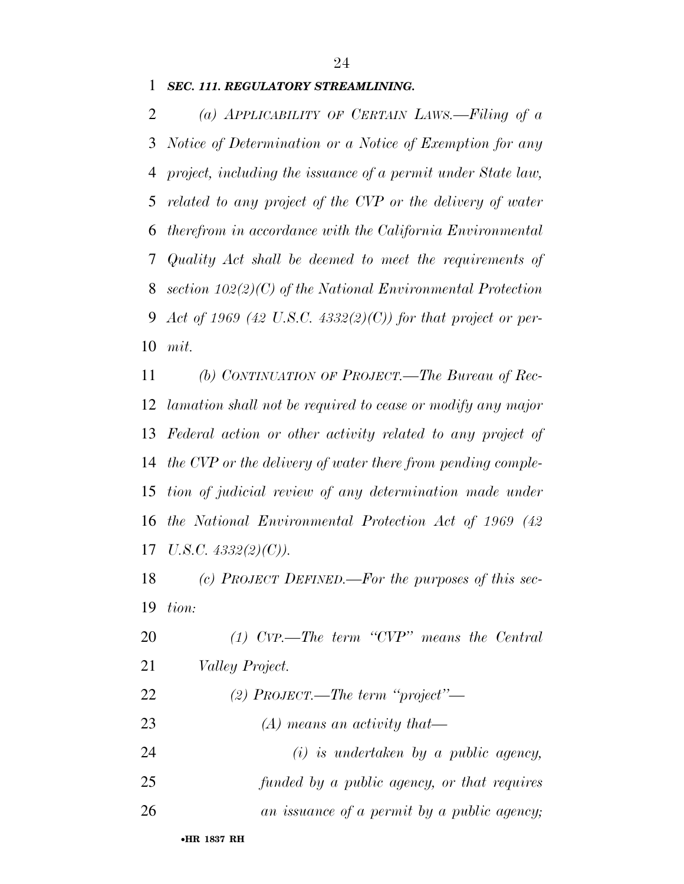*SEC. 111. REGULATORY STREAMLINING.* 

 *(a) APPLICABILITY OF CERTAIN LAWS.—Filing of a Notice of Determination or a Notice of Exemption for any project, including the issuance of a permit under State law, related to any project of the CVP or the delivery of water therefrom in accordance with the California Environmental Quality Act shall be deemed to meet the requirements of section 102(2)(C) of the National Environmental Protection Act of 1969 (42 U.S.C. 4332(2)(C)) for that project or per-mit.* 

 *(b) CONTINUATION OF PROJECT.—The Bureau of Rec- lamation shall not be required to cease or modify any major Federal action or other activity related to any project of the CVP or the delivery of water there from pending comple- tion of judicial review of any determination made under the National Environmental Protection Act of 1969 (42 U.S.C. 4332(2)(C)).* 

 *(c) PROJECT DEFINED.—For the purposes of this sec-tion:* 

 *(1) CVP.—The term ''CVP'' means the Central Valley Project. (2) PROJECT.—The term ''project''—* 

*(A) means an activity that—* 

 *(i) is undertaken by a public agency, funded by a public agency, or that requires* 

*an issuance of a permit by a public agency;*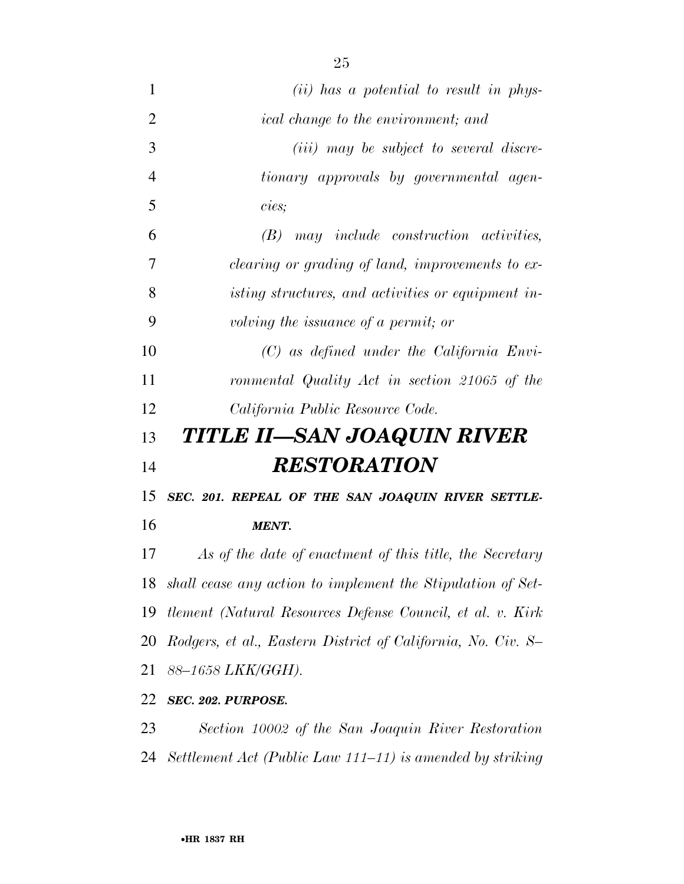| $\mathbf{1}$   | $(ii)$ has a potential to result in phys-                     |
|----------------|---------------------------------------------------------------|
| $\overline{2}$ | <i>ical change to the environment; and</i>                    |
| 3              | ( <i>iii</i> ) may be subject to several discre-              |
| $\overline{4}$ | tionary approvals by governmental agen-                       |
| 5              | cies;                                                         |
| 6              | $(B)$ may include construction activities,                    |
| $\overline{7}$ | <i>clearing or grading of land, improvements to ex-</i>       |
| 8              | isting structures, and activities or equipment in-            |
| 9              | volving the issuance of a permit; or                          |
| 10             | $(C)$ as defined under the California Envi-                   |
| 11             | ronmental Quality Act in section 21065 of the                 |
| 12             | California Public Resource Code.                              |
| 13             | TITLE II—SAN JOAQUIN RIVER                                    |
| 14             | <b>RESTORATION</b>                                            |
| 15             | SEC. 201. REPEAL OF THE SAN JOAQUIN RIVER SETTLE-             |
| 16             | <b>MENT.</b>                                                  |
| 17             | As of the date of enactment of this title, the Secretary      |
| 18             | shall cease any action to implement the Stipulation of Set-   |
|                | 19 tlement (Natural Resources Defense Council, et al. v. Kirk |

 *Rodgers, et al., Eastern District of California, No. Civ. S– 88–1658 LKK/GGH).* 

*SEC. 202. PURPOSE.* 

 *Section 10002 of the San Joaquin River Restoration Settlement Act (Public Law 111–11) is amended by striking*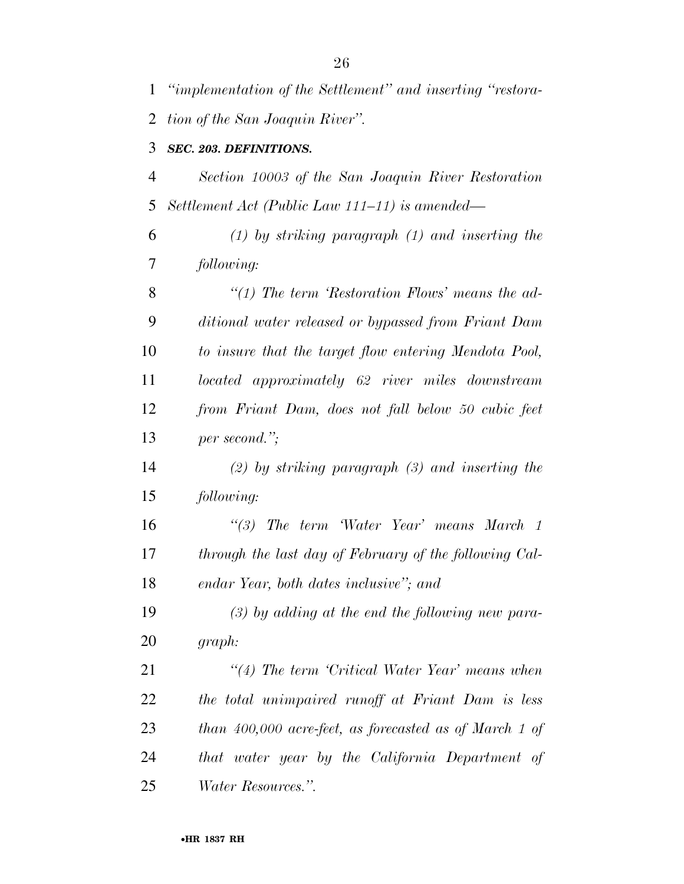| 1              | "implementation of the Settlement" and inserting "restora- |
|----------------|------------------------------------------------------------|
| 2              | tion of the San Joaquin River".                            |
| 3              | SEC. 203. DEFINITIONS.                                     |
| $\overline{4}$ | Section 10003 of the San Joaquin River Restoration         |
| 5              | Settlement Act (Public Law 111–11) is amended—             |
| 6              | $(1)$ by striking paragraph $(1)$ and inserting the        |
| 7              | following:                                                 |
| 8              | "(1) The term 'Restoration Flows' means the $ad$ -         |
| 9              | ditional water released or bypassed from Friant Dam        |
| 10             | to insure that the target flow entering Mendota Pool,      |
| 11             | located approximately 62 river miles downstream            |
| 12             | from Friant Dam, does not fall below 50 cubic feet         |
| 13             | per second.";                                              |
| 14             | $(2)$ by striking paragraph $(3)$ and inserting the        |
| 15             | following:                                                 |
| 16             | "(3) The term Water Year' means March 1                    |
| 17             | through the last day of February of the following Cal-     |
| 18             | endar Year, both dates inclusive"; and                     |
| 19             | $(3)$ by adding at the end the following new para-         |
| 20             | graph:                                                     |
| 21             | $\lq(4)$ The term 'Critical Water Year' means when         |
| 22             | the total unimpaired runoff at Friant Dam is less          |
| 23             | than $400,000$ acre-feet, as forecasted as of March 1 of   |
| 24             | that water year by the California Department of            |
| 25             | <i>Water Resources.".</i>                                  |

•**HR 1837 RH**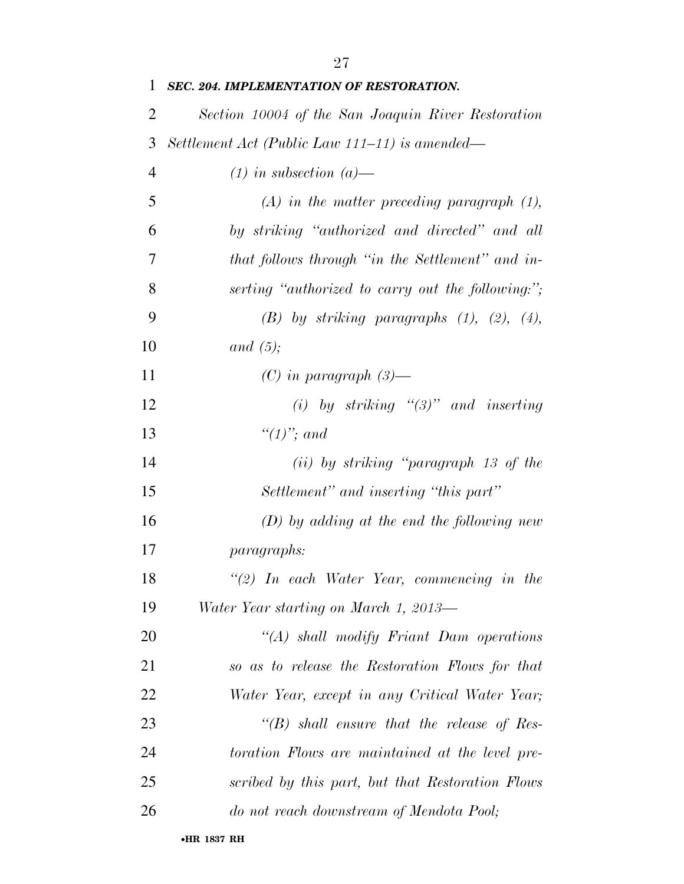*SEC. 204. IMPLEMENTATION OF RESTORATION. Section 10004 of the San Joaquin River Restoration Settlement Act (Public Law 111–11) is amended— (1) in subsection (a)— (A) in the matter preceding paragraph (1), by striking ''authorized and directed'' and all that follows through ''in the Settlement'' and in- serting ''authorized to carry out the following:''; (B) by striking paragraphs (1), (2), (4), and (5); (C) in paragraph (3)— (i) by striking ''(3)'' and inserting ''(1)''; and (ii) by striking ''paragraph 13 of the Settlement'' and inserting ''this part'' (D) by adding at the end the following new paragraphs: ''(2) In each Water Year, commencing in the Water Year starting on March 1, 2013— ''(A) shall modify Friant Dam operations so as to release the Restoration Flows for that Water Year, except in any Critical Water Year; ''(B) shall ensure that the release of Res- toration Flows are maintained at the level pre- scribed by this part, but that Restoration Flows do not reach downstream of Mendota Pool;*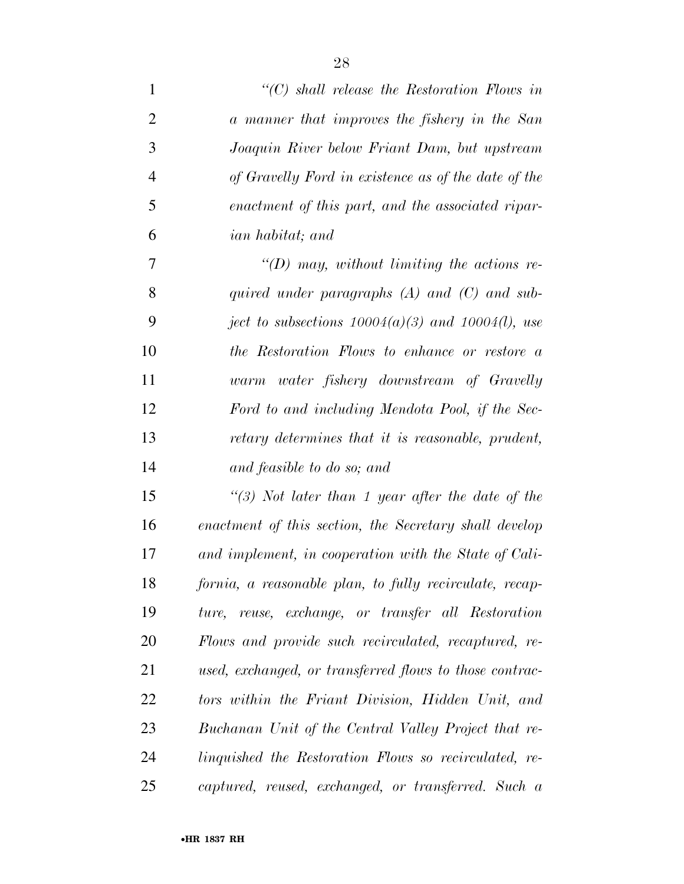| $\mathbf{1}$   | $\lq\lq C$ shall release the Restoration Flows in       |
|----------------|---------------------------------------------------------|
| $\overline{2}$ | a manner that improves the fishery in the San           |
| 3              | Joaquin River below Friant Dam, but upstream            |
| $\overline{4}$ | of Gravelly Ford in existence as of the date of the     |
| 5              | enactment of this part, and the associated ripar-       |
| 6              | ian habitat; and                                        |
| 7              | $\lq (D)$ may, without limiting the actions re-         |
| 8              | quired under paragraphs $(A)$ and $(C)$ and sub-        |
| 9              | ject to subsections $10004(a)(3)$ and $10004(l)$ , use  |
| 10             | the Restoration Flows to enhance or restore a           |
| 11             | warm water fishery downstream of Gravelly               |
| 12             | Ford to and including Mendota Pool, if the Sec-         |
| 13             | retary determines that it is reasonable, prudent,       |
| 14             | and feasible to do so; and                              |
| 15             | "(3) Not later than 1 year after the date of the        |
| 16             | enactment of this section, the Secretary shall develop  |
| 17             | and implement, in cooperation with the State of Cali-   |
| 18             | fornia, a reasonable plan, to fully recirculate, recap- |
| 19             | ture, reuse, exchange, or transfer all Restoration      |
| 20             | Flows and provide such recirculated, recaptured, re-    |
| 21             | used, exchanged, or transferred flows to those contrac- |
| 22             | tors within the Friant Division, Hidden Unit, and       |
| 23             | Buchanan Unit of the Central Valley Project that re-    |
| 24             | linguished the Restoration Flows so recirculated, re-   |
| 25             | captured, reused, exchanged, or transferred. Such a     |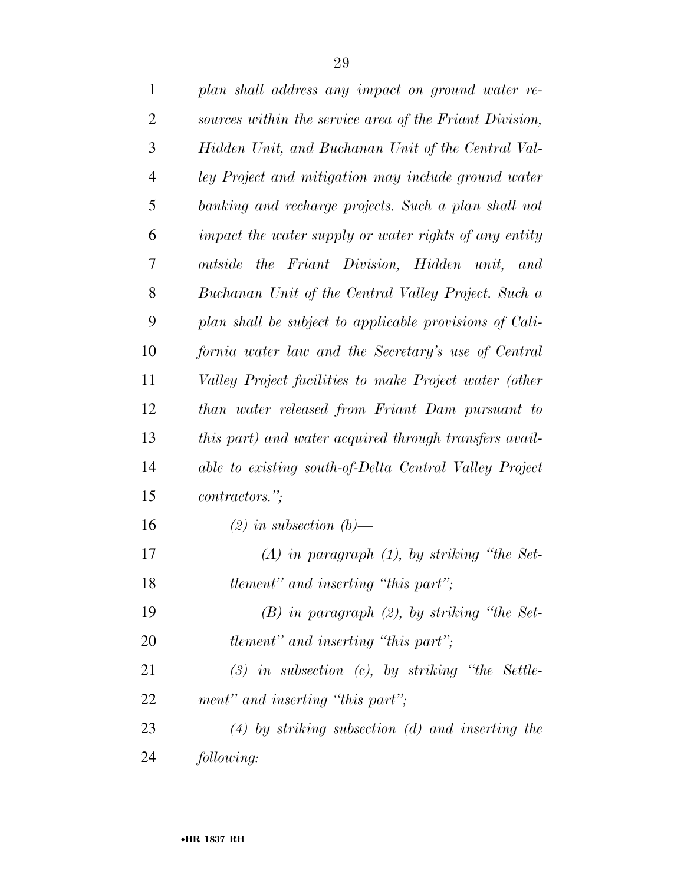| $\mathbf{1}$   | plan shall address any impact on ground water re-       |
|----------------|---------------------------------------------------------|
| $\overline{2}$ | sources within the service area of the Friant Division, |
| 3              | Hidden Unit, and Buchanan Unit of the Central Val-      |
| $\overline{4}$ | ley Project and mitigation may include ground water     |
| 5              | banking and recharge projects. Such a plan shall not    |
| 6              | impact the water supply or water rights of any entity   |
| 7              | outside the Friant Division, Hidden unit, and           |
| 8              | Buchanan Unit of the Central Valley Project. Such a     |
| 9              | plan shall be subject to applicable provisions of Cali- |
| 10             | fornia water law and the Secretary's use of Central     |
| 11             | Valley Project facilities to make Project water (other  |
| 12             | than water released from Friant Dam pursuant to         |
| 13             | this part) and water acquired through transfers avail-  |
| 14             | able to existing south-of-Delta Central Valley Project  |
| 15             | contractors.";                                          |
| 16             | $(2)$ in subsection $(b)$ —                             |
| 17             | $(A)$ in paragraph $(1)$ , by striking "the Set-        |
| 18             | tlement" and inserting "this part";                     |
| 19             | $(B)$ in paragraph $(2)$ , by striking "the Set-        |
| 20             | <i>tlement</i> " and inserting "this part";             |
| 21             | $(3)$ in subsection $(c)$ , by striking "the Settle-    |
| 22             | ment" and inserting "this part";                        |
| 23             | $(4)$ by striking subsection $(d)$ and inserting the    |
| 24             | following:                                              |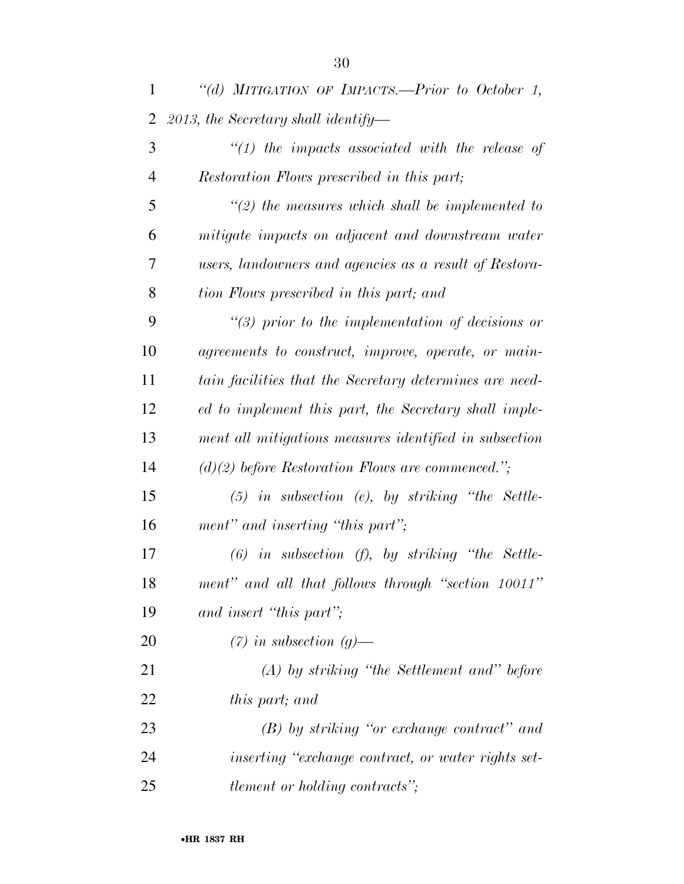| $\mathbf{1}$   | "(d) MITIGATION OF IMPACTS.-Prior to October 1,         |
|----------------|---------------------------------------------------------|
| 2              | 2013, the Secretary shall identify—                     |
| 3              | $\lq(1)$ the impacts associated with the release of     |
| $\overline{4}$ | Restoration Flows prescribed in this part;              |
| 5              | $\lq(2)$ the measures which shall be implemented to     |
| 6              | mitigate impacts on adjacent and downstream water       |
| 7              | users, landowners and agencies as a result of Restora-  |
| 8              | tion Flows prescribed in this part; and                 |
| 9              | $\lq(3)$ prior to the implementation of decisions or    |
| 10             | agreements to construct, improve, operate, or main-     |
| 11             | tain facilities that the Secretary determines are need- |
| 12             | ed to implement this part, the Secretary shall imple-   |
| 13             | ment all mitigations measures identified in subsection  |
| 14             | $(d)(2)$ before Restoration Flows are commenced.";      |
| 15             | $(5)$ in subsection (e), by striking "the Settle-       |
| 16             | ment" and inserting "this part";                        |
| 17             | $(6)$ in subsection $(f)$ , by striking "the Settle-    |
| 18             | ment" and all that follows through "section 10011"      |
| 19             | and insert "this part";                                 |
| 20             | $(7)$ in subsection $(g)$ —                             |
| 21             | $(A)$ by striking "the Settlement and" before           |
| 22             | this part; and                                          |
| 23             | $(B)$ by striking "or exchange contract" and            |
| 24             | inserting "exchange contract, or water rights set-      |
| 25             | <i>tlement or holding contracts"</i> ;                  |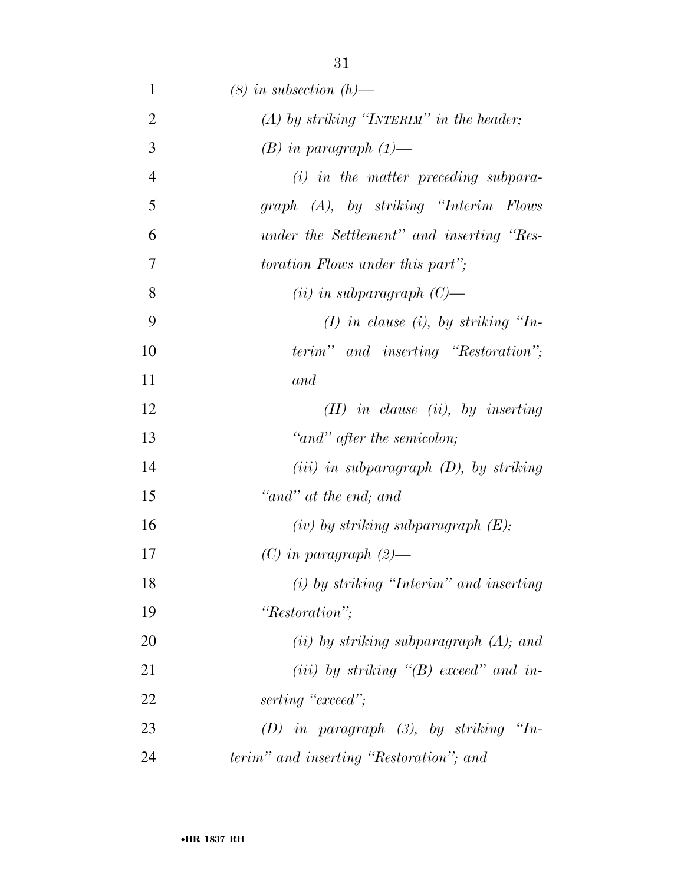| $\mathbf{1}$   | $(8)$ in subsection $(h)$ —                 |
|----------------|---------------------------------------------|
| $\overline{2}$ | $(A)$ by striking "INTERIM" in the header;  |
| 3              | $(B)$ in paragraph $(1)$ —                  |
| $\overline{4}$ | $(i)$ in the matter preceding subpara-      |
| 5              | graph (A), by striking "Interim Flows"      |
| 6              | under the Settlement" and inserting "Res-   |
| 7              | <i>toration Flows under this part"</i> ;    |
| 8              | $(ii)$ in subparagraph $(C)$ —              |
| 9              | $(I)$ in clause (i), by striking "In-       |
| 10             | terim" and inserting "Restoration";         |
| 11             | and                                         |
| 12             | $(II)$ in clause (ii), by inserting         |
| 13             | "and" after the semicolon;                  |
| 14             | $(iii)$ in subparagraph $(D)$ , by striking |
| 15             | "and" at the end; and                       |
| 16             | $(iv)$ by striking subparagraph $(E);$      |
| 17             | $(C)$ in paragraph $(2)$ —                  |
| 18             | $(i)$ by striking "Interim" and inserting   |
| 19             | "Restoration";                              |
| 20             | (ii) by striking subparagraph $(A)$ ; and   |
| 21             | (iii) by striking $\lq(B)$ exceed" and in-  |
| 22             | serting "exceed";                           |
| 23             | $(D)$ in paragraph $(3)$ , by striking "In- |
| 24             | terim" and inserting "Restoration"; and     |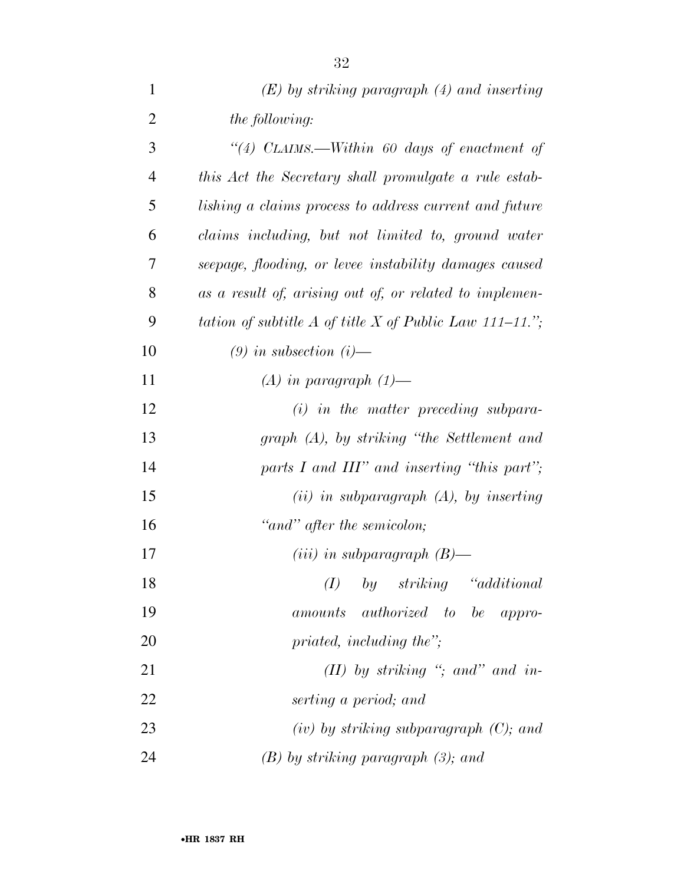| $\mathbf{1}$   | $(E)$ by striking paragraph $(4)$ and inserting         |
|----------------|---------------------------------------------------------|
| $\overline{2}$ | <i>the following:</i>                                   |
| 3              | "(4) CLAIMS.—Within 60 days of enactment of             |
| $\overline{4}$ | this Act the Secretary shall promulgate a rule estab-   |
| 5              | lishing a claims process to address current and future  |
| 6              | claims including, but not limited to, ground water      |
| 7              | seepage, flooding, or levee instability damages caused  |
| 8              | as a result of, arising out of, or related to implemen- |
| 9              | tation of subtitle A of title X of Public Law 111–11."; |
| 10             | $(9)$ in subsection $(i)$ —                             |
| 11             | $(A)$ in paragraph $(1)$ —                              |
| 12             | $(i)$ in the matter preceding subpara-                  |
| 13             | $graph(A)$ , by striking "the Settlement and            |
| 14             | parts I and $III$ " and inserting "this part";          |
| 15             | $(ii)$ in subparagraph $(A)$ , by inserting             |
| 16             | "and" after the semicolon;                              |
| 17             | $(iii)$ in subparagraph $(B)$ —                         |
| 18             | by striking "additional<br>(I)                          |
| 19             | amounts authorized to be appro-                         |
| 20             | priated, including the";                                |
| 21             | (II) by striking "; and" and in-                        |
| 22             | serting a period; and                                   |
| 23             | $(iv)$ by striking subparagraph $(C)$ ; and             |
| 24             | $(B)$ by striking paragraph $(3)$ ; and                 |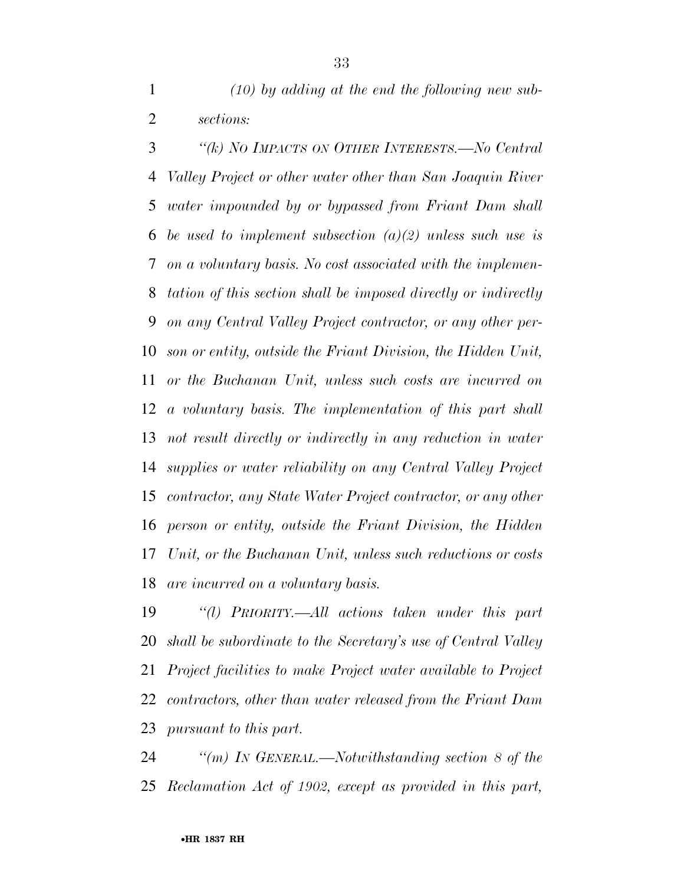*(10) by adding at the end the following new sub-sections:* 

 *''(k) NO IMPACTS ON OTHER INTERESTS.—No Central Valley Project or other water other than San Joaquin River water impounded by or bypassed from Friant Dam shall be used to implement subsection (a)(2) unless such use is on a voluntary basis. No cost associated with the implemen- tation of this section shall be imposed directly or indirectly on any Central Valley Project contractor, or any other per- son or entity, outside the Friant Division, the Hidden Unit, or the Buchanan Unit, unless such costs are incurred on a voluntary basis. The implementation of this part shall not result directly or indirectly in any reduction in water supplies or water reliability on any Central Valley Project contractor, any State Water Project contractor, or any other person or entity, outside the Friant Division, the Hidden Unit, or the Buchanan Unit, unless such reductions or costs are incurred on a voluntary basis.* 

 *''(l) PRIORITY.—All actions taken under this part shall be subordinate to the Secretary's use of Central Valley Project facilities to make Project water available to Project contractors, other than water released from the Friant Dam pursuant to this part.* 

 *''(m) IN GENERAL.—Notwithstanding section 8 of the Reclamation Act of 1902, except as provided in this part,*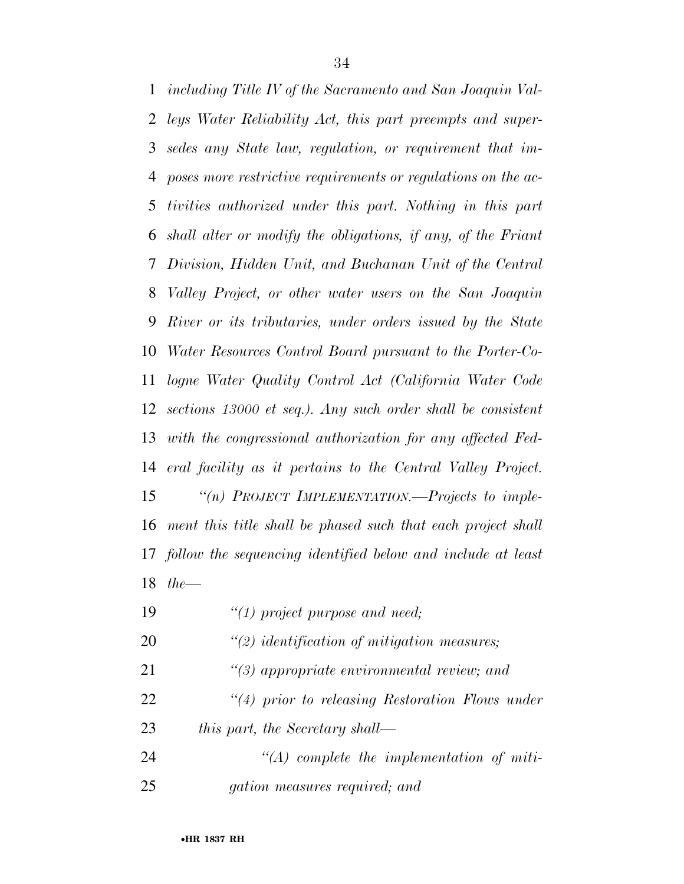*including Title IV of the Sacramento and San Joaquin Val- leys Water Reliability Act, this part preempts and super- sedes any State law, regulation, or requirement that im- poses more restrictive requirements or regulations on the ac- tivities authorized under this part. Nothing in this part shall alter or modify the obligations, if any, of the Friant Division, Hidden Unit, and Buchanan Unit of the Central Valley Project, or other water users on the San Joaquin River or its tributaries, under orders issued by the State Water Resources Control Board pursuant to the Porter-Co- logne Water Quality Control Act (California Water Code sections 13000 et seq.). Any such order shall be consistent with the congressional authorization for any affected Fed- eral facility as it pertains to the Central Valley Project. ''(n) PROJECT IMPLEMENTATION.—Projects to imple- ment this title shall be phased such that each project shall follow the sequencing identified below and include at least the—* 

- *''(1) project purpose and need;*
- *''(2) identification of mitigation measures;*
- *''(3) appropriate environmental review; and*
- *''(4) prior to releasing Restoration Flows under*
- *this part, the Secretary shall—*
- *''(A) complete the implementation of miti-gation measures required; and*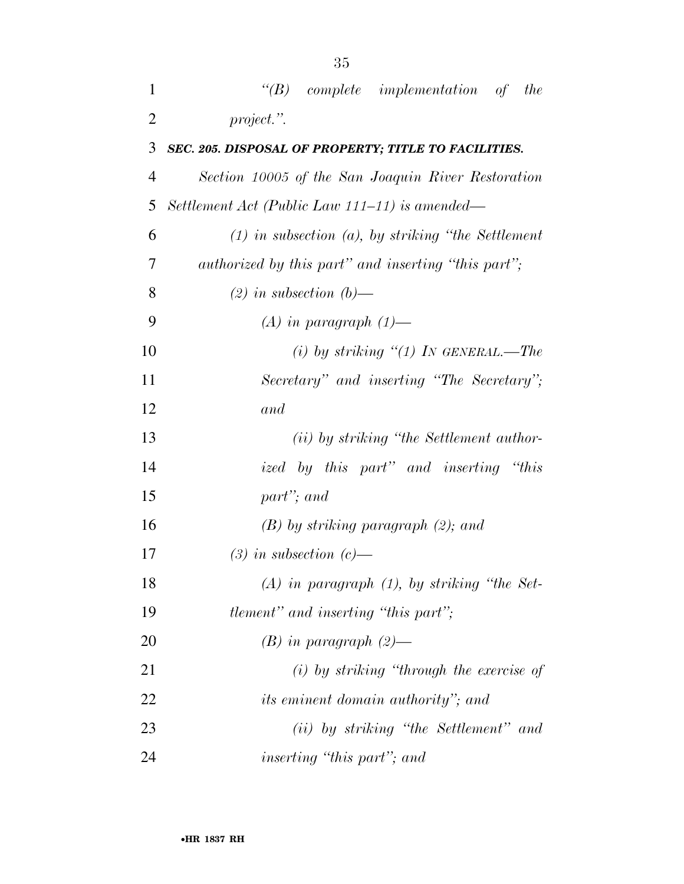| 1              | $\lq\lq B$ complete implementation of the                |
|----------------|----------------------------------------------------------|
| $\overline{2}$ | project.".                                               |
| 3              | SEC. 205. DISPOSAL OF PROPERTY; TITLE TO FACILITIES.     |
| 4              | Section 10005 of the San Joaquin River Restoration       |
| 5              | Settlement Act (Public Law 111–11) is amended—           |
| 6              | $(1)$ in subsection $(a)$ , by striking "the Settlement" |
| 7              | authorized by this part" and inserting "this part";      |
| 8              | $(2)$ in subsection $(b)$ —                              |
| 9              | $(A)$ in paragraph $(1)$ —                               |
| 10             | (i) by striking $\lq(1)$ IN GENERAL.—The                 |
| 11             | Secretary" and inserting "The Secretary";                |
| 12             | and                                                      |
| 13             | ( <i>ii</i> ) by striking "the Settlement author-        |
| 14             | ized by this part" and inserting "this                   |
| 15             | part"; and                                               |
| 16             | $(B)$ by striking paragraph $(2)$ ; and                  |
| 17             | $(3)$ in subsection $(c)$ —                              |
| 18             | $(A)$ in paragraph $(1)$ , by striking "the Set-         |
| 19             | <i>tlement</i> " and inserting "this part";              |
| 20             | $(B)$ in paragraph $(2)$ —                               |
| 21             | $(i)$ by striking "through the exercise of               |
| 22             | <i>its eminent domain authority</i> "; and               |
| 23             | (ii) by striking "the Settlement" and                    |
| 24             | inserting "this part"; and                               |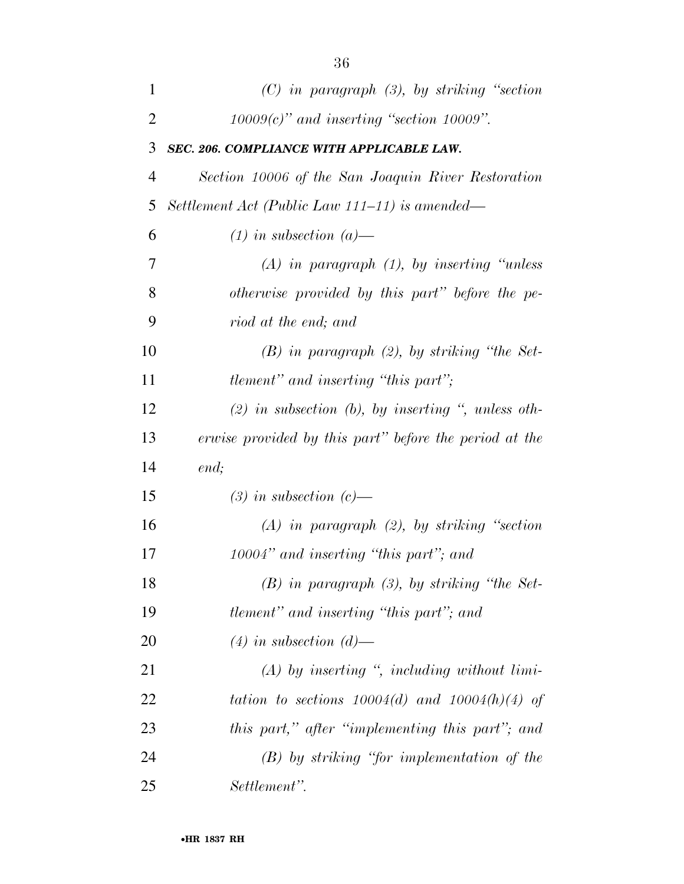| 1              | $(C)$ in paragraph $(3)$ , by striking "section"       |
|----------------|--------------------------------------------------------|
| $\overline{2}$ | $10009(c)$ " and inserting "section 10009".            |
| 3              | SEC. 206. COMPLIANCE WITH APPLICABLE LAW.              |
| $\overline{4}$ | Section 10006 of the San Joaquin River Restoration     |
| 5              | Settlement Act (Public Law 111–11) is amended—         |
| 6              | $(1)$ in subsection $(a)$ —                            |
| 7              | $(A)$ in paragraph $(1)$ , by inserting "unless"       |
| 8              | otherwise provided by this part" before the pe-        |
| 9              | riod at the end; and                                   |
| 10             | $(B)$ in paragraph $(2)$ , by striking "the Set-       |
| 11             | <i>tlement</i> " and inserting "this part";            |
| 12             | $(2)$ in subsection (b), by inserting ", unless oth-   |
| 13             | erwise provided by this part" before the period at the |
| 14             | end;                                                   |
| 15             | $(3)$ in subsection $(c)$ —                            |
| 16             | $(A)$ in paragraph $(2)$ , by striking "section"       |
| 17             | 10004" and inserting "this part"; and                  |
| 18             | $(B)$ in paragraph $(3)$ , by striking "the Set-       |
| 19             | tlement" and inserting "this part"; and                |
| 20             | $(4)$ in subsection $(d)$ —                            |
| 21             | $(A)$ by inserting ", including without limi-          |
| 22             | tation to sections $10004(d)$ and $10004(h)(4)$ of     |
| 23             | this part," after "implementing this part"; and        |
| 24             | $(B)$ by striking "for implementation of the           |
| 25             | Settlement".                                           |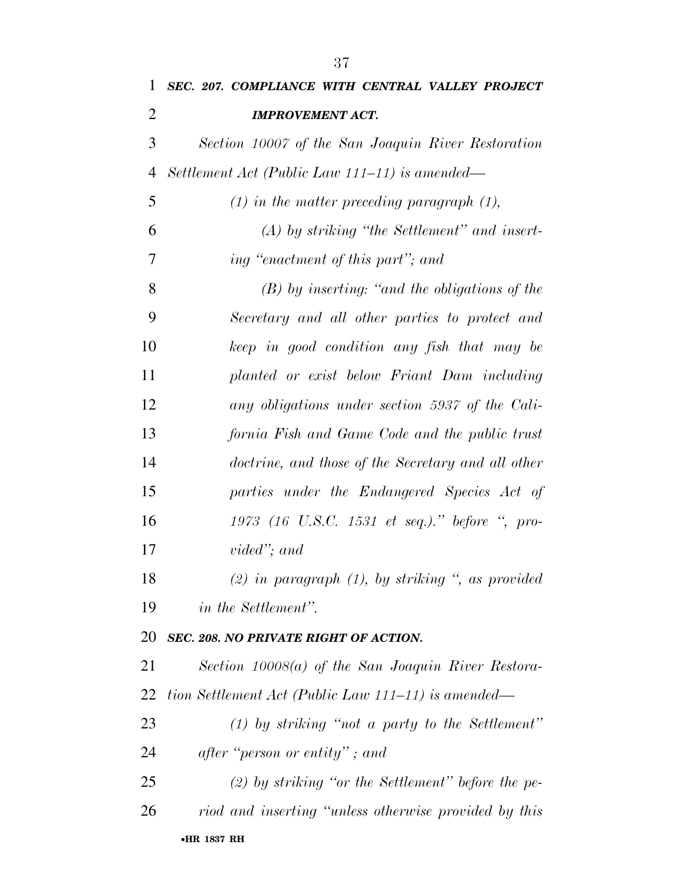| 1              | SEC. 207. COMPLIANCE WITH CENTRAL VALLEY PROJECT      |
|----------------|-------------------------------------------------------|
| $\overline{2}$ | <b>IMPROVEMENT ACT.</b>                               |
| 3              | Section 10007 of the San Joaquin River Restoration    |
| 4              | Settlement Act (Public Law 111–11) is amended—        |
| 5              | $(1)$ in the matter preceding paragraph $(1)$ ,       |
| 6              | $(A)$ by striking "the Settlement" and insert-        |
| 7              | ing "enactment of this part"; and                     |
| 8              | $(B)$ by inserting: "and the obligations of the       |
| 9              | Secretary and all other parties to protect and        |
| 10             | keep in good condition any fish that may be           |
| 11             | planted or exist below Friant Dam including           |
| 12             | any obligations under section 5937 of the Cali-       |
| 13             | fornia Fish and Game Code and the public trust        |
| 14             | doctrine, and those of the Secretary and all other    |
| 15             | parties under the Endangered Species Act of           |
| 16             | $1973$ (16 U.S.C. 1531 et seq.)." before ", pro-      |
| 17             | vided"; and                                           |
| 18             | (2) in paragraph $(1)$ , by striking ", as provided   |
| 19             | <i>in the Settlement"</i> .                           |
| 20             | SEC. 208. NO PRIVATE RIGHT OF ACTION.                 |
| 21             | Section $10008(a)$ of the San Joaquin River Restora-  |
| 22             | tion Settlement Act (Public Law 111–11) is amended—   |
| 23             | $(1)$ by striking "not a party to the Settlement"     |
| 24             | after "person or entity"; and                         |
| 25             | $(2)$ by striking "or the Settlement" before the pe-  |
| 26             | riod and inserting "unless otherwise provided by this |
|                | •HR 1837 RH                                           |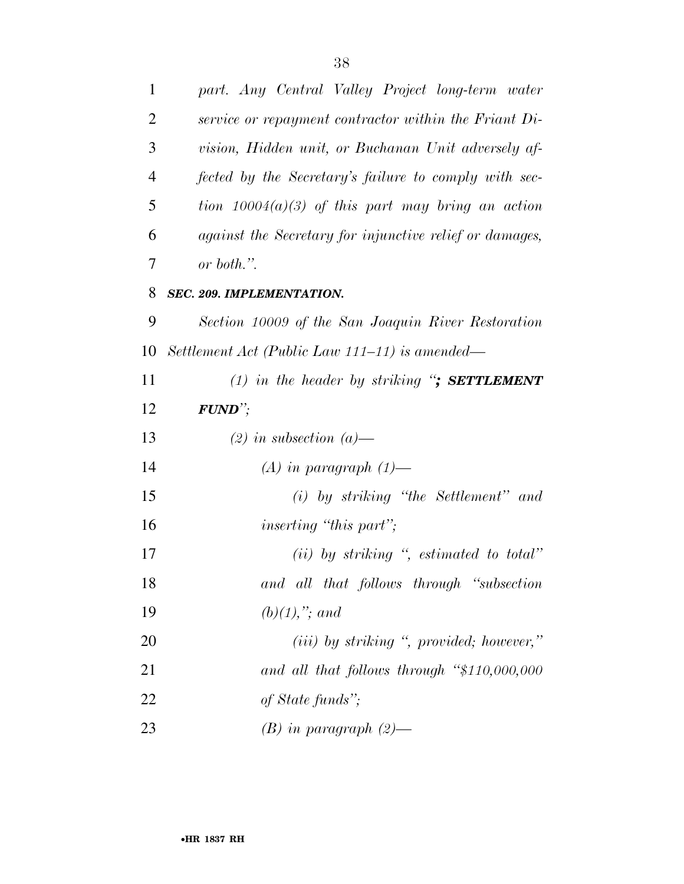| 1              | part. Any Central Valley Project long-term water        |
|----------------|---------------------------------------------------------|
| $\overline{2}$ | service or repayment contractor within the Friant Di-   |
| 3              | vision, Hidden unit, or Buchanan Unit adversely af-     |
| $\overline{4}$ | fected by the Secretary's failure to comply with sec-   |
| 5              | tion $10004(a)(3)$ of this part may bring an action     |
| 6              | against the Secretary for injunctive relief or damages, |
| 7              | or both.".                                              |
| 8              | SEC. 209. IMPLEMENTATION.                               |
| 9              | Section 10009 of the San Joaquin River Restoration      |
| 10             | Settlement Act (Public Law 111–11) is amended—          |
| 11             | (1) in the header by striking "; SETTLEMENT             |
| 12             | $FUND$ <sup>"</sup> ;                                   |
| 13             | $(2)$ in subsection $(a)$ —                             |
| 14             | $(A)$ in paragraph $(1)$ —                              |
| 15             | $(i)$ by striking "the Settlement" and                  |
| 16             | <i>inserting</i> "this part";                           |
| 17             | $(ii)$ by striking ", estimated to total"               |
| 18             | and all that follows through "subsection                |
| 19             | $(b)(1),$ "; and                                        |
| 20             | $(iii)$ by striking ", provided; however,"              |
| 21             | and all that follows through $\frac{4}{3}110,000,000$   |
| 22             | of State funds";                                        |
| 23             | $(B)$ in paragraph $(2)$ —                              |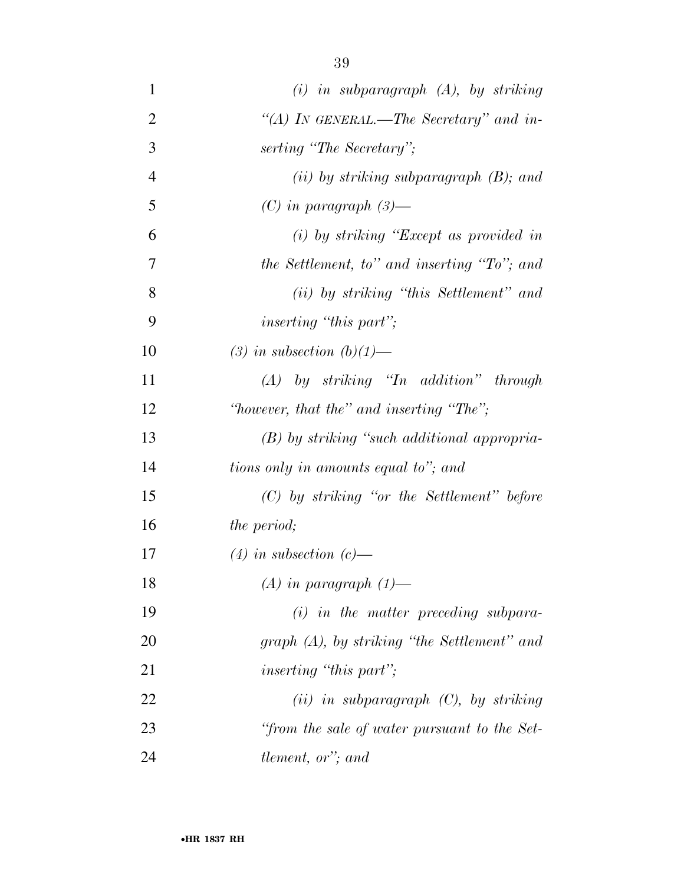| $\mathbf{1}$   | $(i)$ in subparagraph $(A)$ , by striking     |
|----------------|-----------------------------------------------|
| $\overline{2}$ | "(A) IN GENERAL.—The Secretary" and in-       |
| 3              | serting "The Secretary";                      |
| $\overline{4}$ | (ii) by striking subparagraph $(B)$ ; and     |
| 5              | $(C)$ in paragraph $(3)$ —                    |
| 6              | $(i)$ by striking "Except as provided in      |
| 7              | the Settlement, to" and inserting "To"; and   |
| 8              | (ii) by striking "this Settlement" and        |
| 9              | <i>inserting</i> "this part";                 |
| 10             | (3) in subsection $(b)(1)$ —                  |
| 11             | $(A)$ by striking "In addition" through       |
| 12             | "however, that the" and inserting "The";      |
| 13             | $(B)$ by striking "such additional appropria- |
| 14             | tions only in amounts equal to"; and          |
| 15             | $(C)$ by striking "or the Settlement" before  |
| 16             | <i>the period;</i>                            |
| 17             | $(4)$ in subsection $(c)$ —                   |
| 18             | $(A)$ in paragraph $(1)$ —                    |
| 19             | $(i)$ in the matter preceding subpara-        |
| 20             | graph (A), by striking "the Settlement" and   |
| 21             | <i>inserting</i> "this part";                 |
| 22             | $(ii)$ in subparagraph $(C)$ , by striking    |
| 23             | "from the sale of water pursuant to the Set-  |
| 24             | tlement, or"; and                             |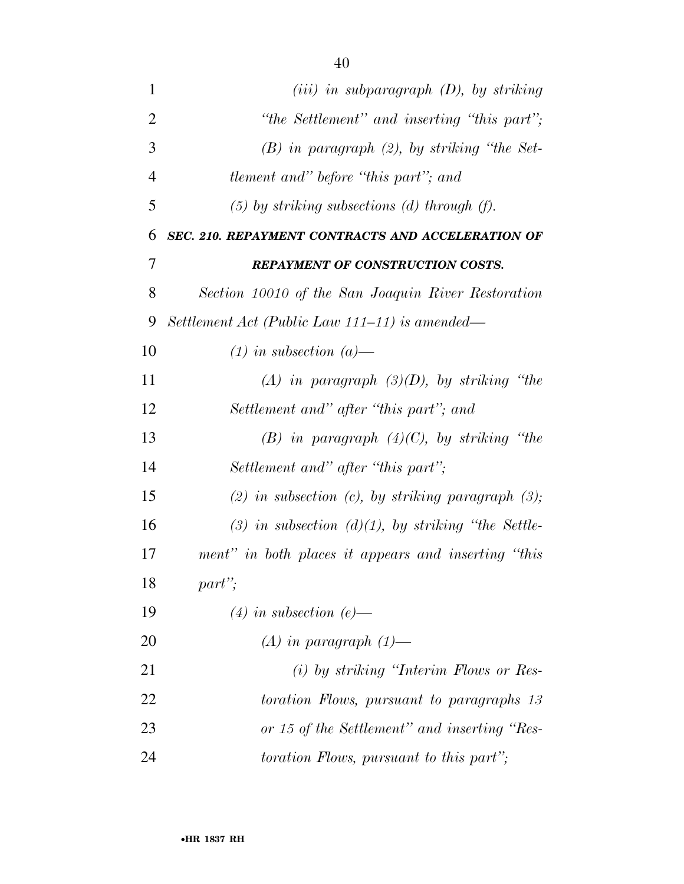| $\mathbf{1}$   | $(iii)$ in subparagraph $(D)$ , by striking          |
|----------------|------------------------------------------------------|
| $\overline{2}$ | "the Settlement" and inserting "this part";          |
| 3              | $(B)$ in paragraph $(2)$ , by striking "the Set-     |
| $\overline{4}$ | <i>tlement and" before "this part"; and</i>          |
| 5              | $(5)$ by striking subsections (d) through (f).       |
| 6              | SEC. 210. REPAYMENT CONTRACTS AND ACCELERATION OF    |
| 7              | <b>REPAYMENT OF CONSTRUCTION COSTS.</b>              |
| 8              | Section 10010 of the San Joaquin River Restoration   |
| 9              | Settlement Act (Public Law 111–11) is amended—       |
| 10             | $(1)$ in subsection $(a)$ —                          |
| 11             | (A) in paragraph $(3)(D)$ , by striking "the         |
| 12             | Settlement and" after "this part"; and               |
| 13             | $(B)$ in paragraph $(4)(C)$ , by striking "the       |
| 14             | Settlement and" after "this part";                   |
| 15             | (2) in subsection (c), by striking paragraph $(3)$ ; |
| 16             | (3) in subsection (d)(1), by striking "the Settle-   |
| 17             | ment" in both places it appears and inserting "this  |
| 18             | $part$ ";                                            |
| 19             | $(4)$ in subsection (e)—                             |

*(A) in paragraph (1)—* 

 *(i) by striking ''Interim Flows or Res- toration Flows, pursuant to paragraphs 13 or 15 of the Settlement'' and inserting ''Res-toration Flows, pursuant to this part'';* 

•**HR 1837 RH**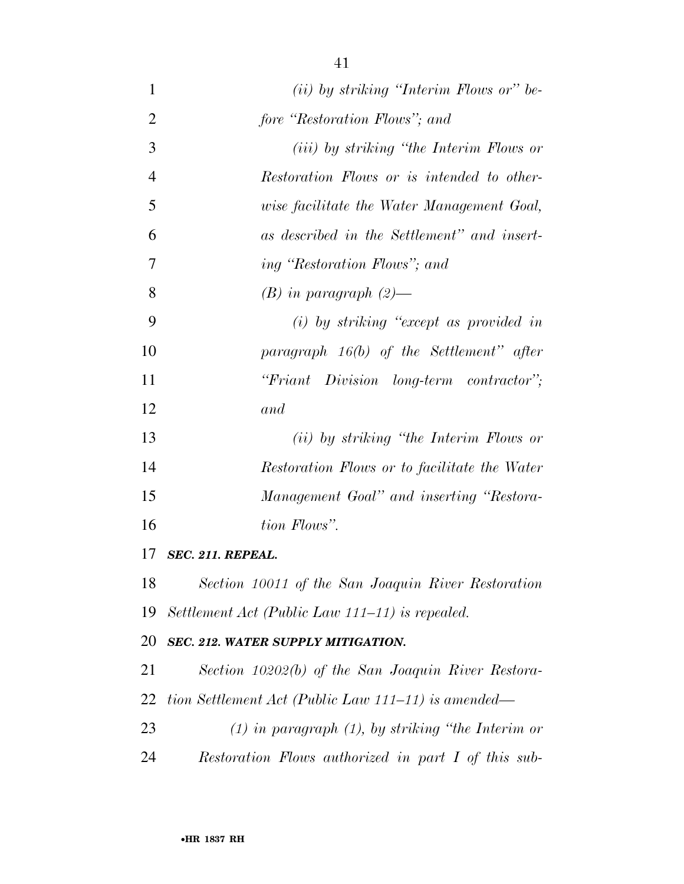| 1              | $(ii)$ by striking "Interim Flows or" be-              |
|----------------|--------------------------------------------------------|
| $\overline{2}$ | fore "Restoration Flows"; and                          |
| 3              | ( <i>iii</i> ) by striking "the Interim Flows or       |
| $\overline{4}$ | Restoration Flows or is intended to other-             |
| 5              | wise facilitate the Water Management Goal,             |
| 6              | as described in the Settlement" and insert-            |
| 7              | ing "Restoration Flows"; and                           |
| 8              | $(B)$ in paragraph $(2)$ —                             |
| 9              | $(i)$ by striking "except as provided in               |
| 10             | paragraph $16(b)$ of the Settlement" after             |
| 11             | "Friant Division long-term contractor";                |
| 12             | and                                                    |
| 13             | (ii) by striking "the Interim Flows or                 |
| 14             | Restoration Flows or to facilitate the Water           |
| 15             | Management Goal" and inserting "Restora-               |
| 16             | tion Flows".                                           |
| 17             | SEC. 211. REPEAL.                                      |
| 18             | Section 10011 of the San Joaquin River Restoration     |
| 19             | Settlement Act (Public Law 111–11) is repealed.        |
| 20             | SEC. 212. WATER SUPPLY MITIGATION.                     |
| 21             | Section 10202(b) of the San Joaquin River Restora-     |
| 22             | tion Settlement Act (Public Law 111–11) is amended—    |
| 23             | $(1)$ in paragraph $(1)$ , by striking "the Interim or |
| 24             | Restoration Flows authorized in part I of this sub-    |
|                |                                                        |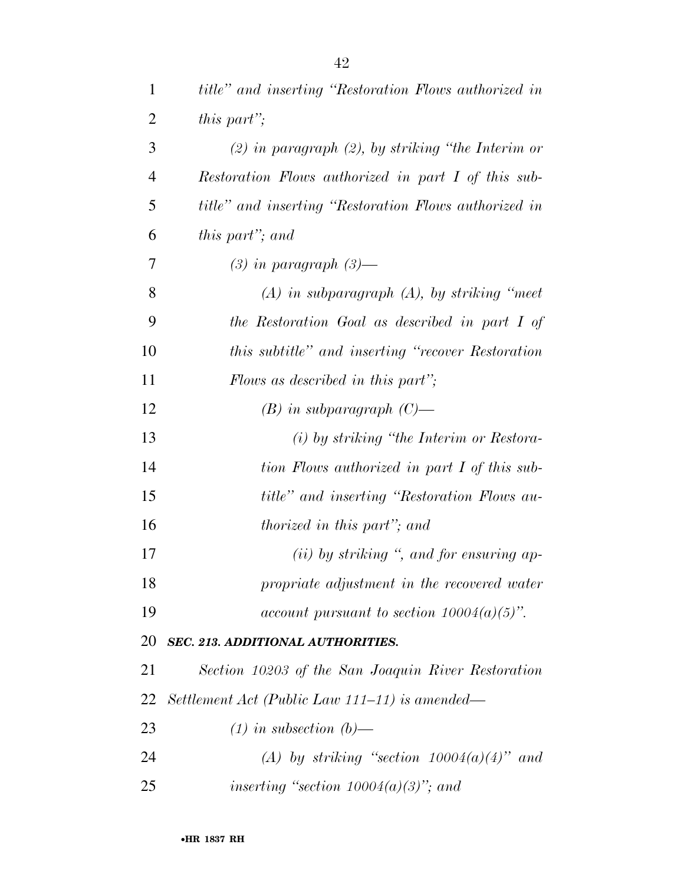| 1              | title" and inserting "Restoration Flows authorized in  |
|----------------|--------------------------------------------------------|
| $\overline{2}$ | this part";                                            |
| 3              | $(2)$ in paragraph $(2)$ , by striking "the Interim or |
| $\overline{4}$ | Restoration Flows authorized in part I of this sub-    |
| 5              | title" and inserting "Restoration Flows authorized in  |
| 6              | this part"; and                                        |
| 7              | $(3)$ in paragraph $(3)$ —                             |
| 8              | $(A)$ in subparagraph $(A)$ , by striking "meet"       |
| 9              | the Restoration Goal as described in part I of         |
| 10             | this subtitle" and inserting "recover Restoration      |
| 11             | Flows as described in this part";                      |
| 12             | $(B)$ in subparagraph $(C)$ —                          |
| 13             | (i) by striking "the Interim or Restora-               |
| 14             | tion Flows authorized in part I of this sub-           |
| 15             | title" and inserting "Restoration Flows au-            |
| 16             | thorized in this part"; and                            |
| 17             | $(ii)$ by striking ", and for ensuring ap-             |
| 18             | propriate adjustment in the recovered water            |
| 19             | account pursuant to section $10004(a)(5)$ ".           |
| 20             | SEC. 213. ADDITIONAL AUTHORITIES.                      |
| 21             | Section 10203 of the San Joaquin River Restoration     |
| 22             | Settlement Act (Public Law 111–11) is amended—         |
| 23             | $(1)$ in subsection $(b)$ —                            |
| 24             | (A) by striking "section $10004(a)(4)$ " and           |
| 25             | inserting "section $10004(a)(3)$ "; and                |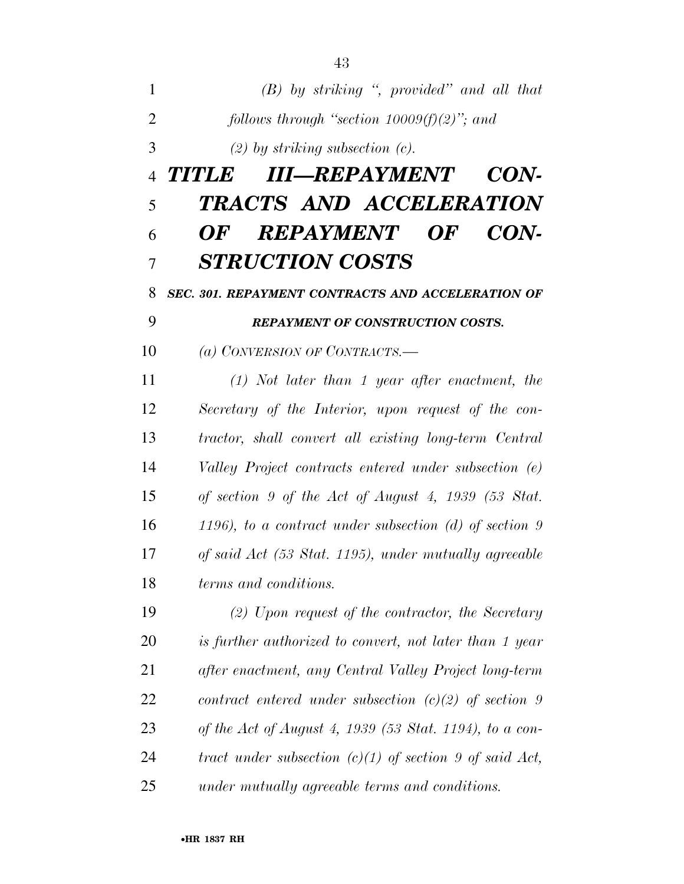| 1              | $(B)$ by striking ", provided" and all that                    |
|----------------|----------------------------------------------------------------|
| $\overline{2}$ | follows through "section $10009(f)(2)$ "; and                  |
| 3              | $(2)$ by striking subsection $(c)$ .                           |
| $\overline{4}$ | TITLE III—REPAYMENT<br><i>CON-</i>                             |
| 5              | TRACTS AND ACCELERATION                                        |
| 6              | <b>REPAYMENT OF</b><br>CON-<br>OF                              |
| 7              | <b>STRUCTION COSTS</b>                                         |
| 8              | <b>SEC. 301. REPAYMENT CONTRACTS AND ACCELERATION OF</b>       |
| 9              | <b>REPAYMENT OF CONSTRUCTION COSTS.</b>                        |
| 10             | (a) CONVERSION OF CONTRACTS.—                                  |
| 11             | $(1)$ Not later than 1 year after enactment, the               |
| 12             | Secretary of the Interior, upon request of the con-            |
| 13             | tractor, shall convert all existing long-term Central          |
| 14             | Valley Project contracts entered under subsection (e)          |
| 15             | of section 9 of the Act of August 4, 1939 $(53 \text{ Stat.})$ |
| 16             | 1196), to a contract under subsection $(d)$ of section 9       |
| 17             | of said Act (53 Stat. 1195), under mutually agreeable          |
| 18             | terms and conditions.                                          |
| 19             | $(2)$ Upon request of the contractor, the Secretary            |
| 20             | is further authorized to convert, not later than 1 year        |
| 21             | after enactment, any Central Valley Project long-term          |
| 22             | contract entered under subsection $(c)(2)$ of section 9        |
| 23             | of the Act of August 4, 1939 (53 Stat. 1194), to a con-        |
| 24             | tract under subsection $(c)(1)$ of section 9 of said Act,      |
| 25             | under mutually agreeable terms and conditions.                 |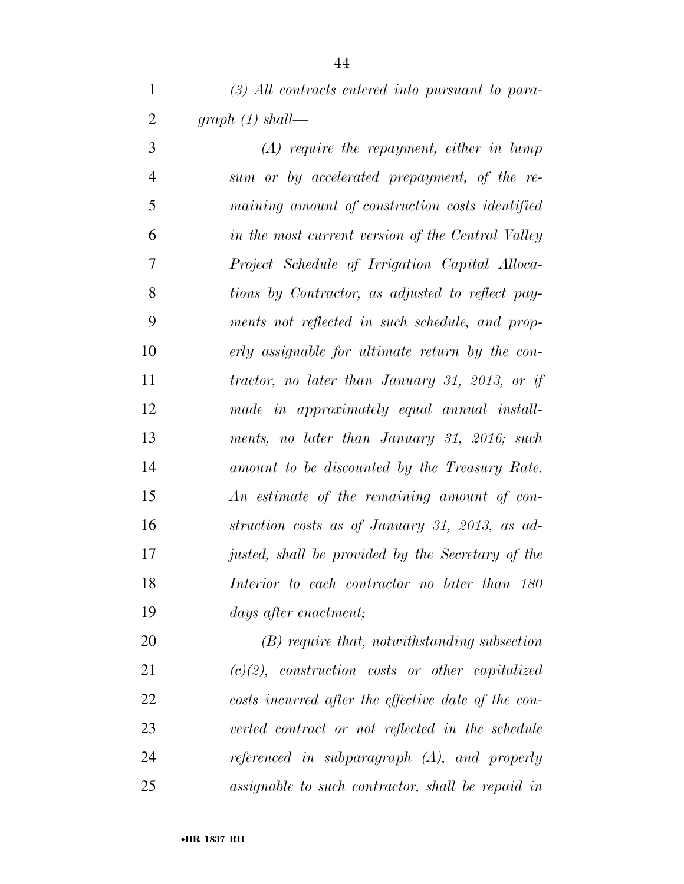*(3) All contracts entered into pursuant to para-graph (1) shall—* 

 *(A) require the repayment, either in lump sum or by accelerated prepayment, of the re- maining amount of construction costs identified in the most current version of the Central Valley Project Schedule of Irrigation Capital Alloca- tions by Contractor, as adjusted to reflect pay- ments not reflected in such schedule, and prop- erly assignable for ultimate return by the con- tractor, no later than January 31, 2013, or if made in approximately equal annual install- ments, no later than January 31, 2016; such amount to be discounted by the Treasury Rate. An estimate of the remaining amount of con- struction costs as of January 31, 2013, as ad- justed, shall be provided by the Secretary of the Interior to each contractor no later than 180 days after enactment;* 

 *(B) require that, notwithstanding subsection (c)(2), construction costs or other capitalized costs incurred after the effective date of the con- verted contract or not reflected in the schedule referenced in subparagraph (A), and properly assignable to such contractor, shall be repaid in*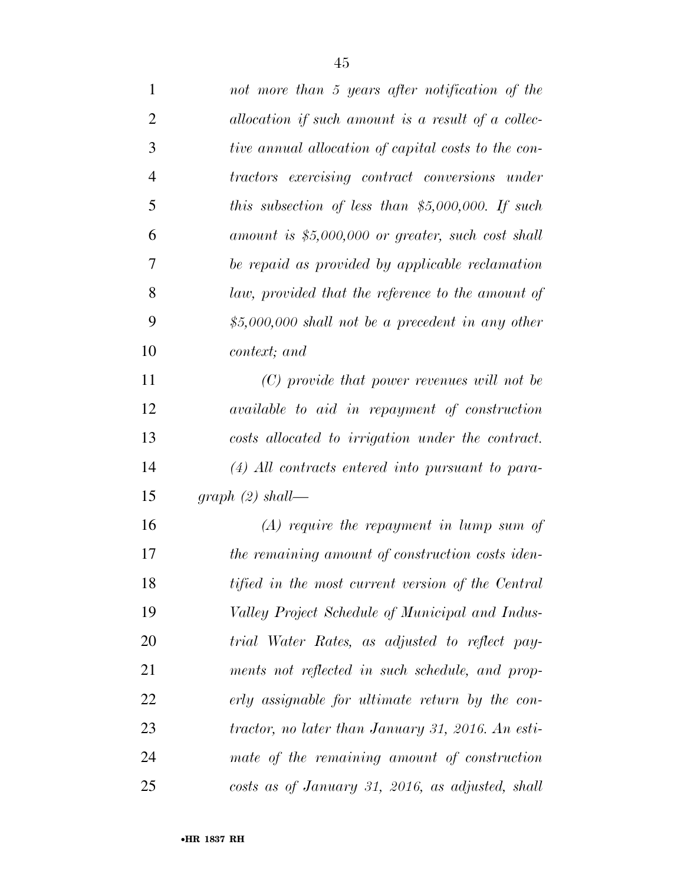| $\mathbf{1}$   | not more than 5 years after notification of the     |
|----------------|-----------------------------------------------------|
| 2              | allocation if such amount is a result of a collec-  |
| 3              | tive annual allocation of capital costs to the con- |
| $\overline{4}$ | tractors exercising contract conversions under      |
| 5              | this subsection of less than \$5,000,000. If such   |
| 6              | amount is $$5,000,000$ or greater, such cost shall  |
| 7              | be repaid as provided by applicable reclamation     |
| 8              | law, provided that the reference to the amount of   |
| 9              | $$5,000,000$ shall not be a precedent in any other  |
| 10             | context; and                                        |
| 11             | $(C)$ provide that power revenues will not be       |
| 12             | available to aid in repayment of construction       |
| 13             | costs allocated to irrigation under the contract.   |
| 14             | $(4)$ All contracts entered into pursuant to para-  |
| 15             | $graph(2) shall$ —                                  |
| 16             | $(A)$ require the repayment in lump sum of          |
| 17             | the remaining amount of construction costs iden-    |
| 18             | tified in the most current version of the Central   |
| 19             | Valley Project Schedule of Municipal and Indus-     |
| 20             | trial Water Rates, as adjusted to reflect pay-      |
| 21             | ments not reflected in such schedule, and prop-     |
| 22             | erly assignable for ultimate return by the con-     |
| 23             | tractor, no later than January 31, 2016. An esti-   |
| 24             | mate of the remaining amount of construction        |
| 25             | costs as of January 31, 2016, as adjusted, shall    |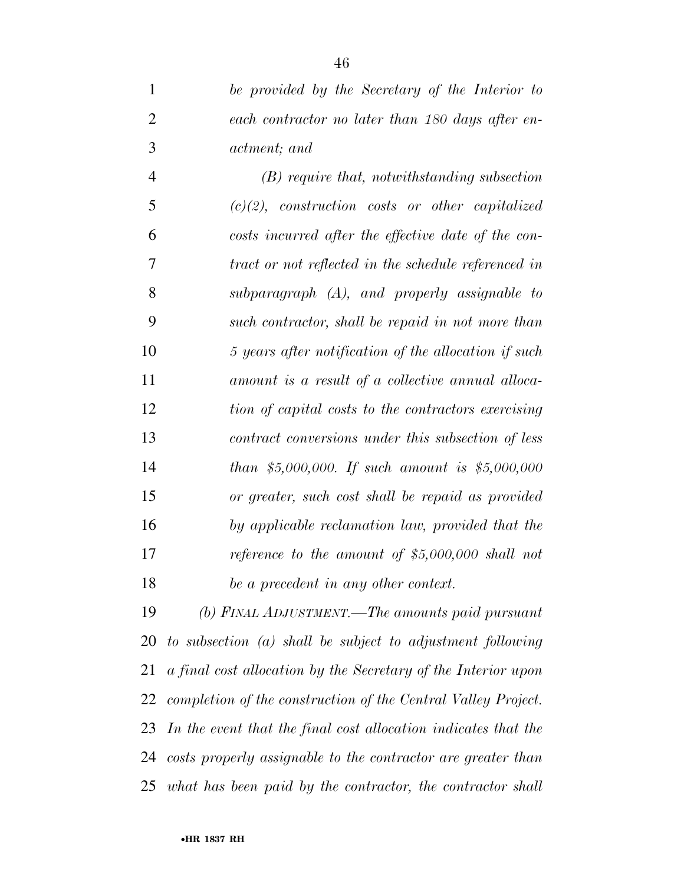*be provided by the Secretary of the Interior to each contractor no later than 180 days after en-actment; and* 

 *(B) require that, notwithstanding subsection (c)(2), construction costs or other capitalized costs incurred after the effective date of the con- tract or not reflected in the schedule referenced in subparagraph (A), and properly assignable to such contractor, shall be repaid in not more than 5 years after notification of the allocation if such amount is a result of a collective annual alloca- tion of capital costs to the contractors exercising contract conversions under this subsection of less than \$5,000,000. If such amount is \$5,000,000 or greater, such cost shall be repaid as provided by applicable reclamation law, provided that the reference to the amount of \$5,000,000 shall not be a precedent in any other context.* 

 *(b) FINAL ADJUSTMENT.—The amounts paid pursuant to subsection (a) shall be subject to adjustment following a final cost allocation by the Secretary of the Interior upon completion of the construction of the Central Valley Project. In the event that the final cost allocation indicates that the costs properly assignable to the contractor are greater than what has been paid by the contractor, the contractor shall*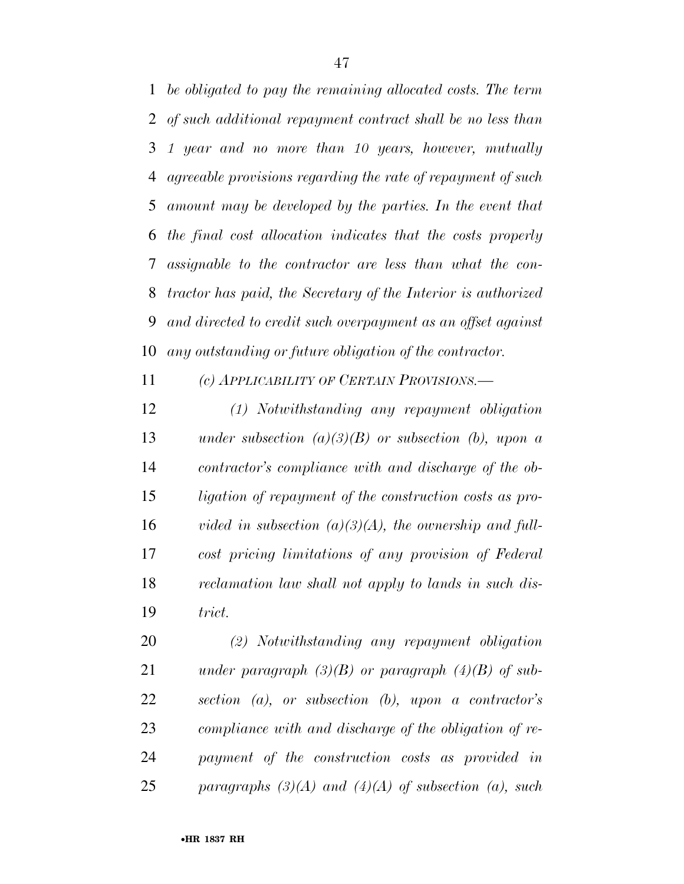*be obligated to pay the remaining allocated costs. The term of such additional repayment contract shall be no less than 1 year and no more than 10 years, however, mutually agreeable provisions regarding the rate of repayment of such amount may be developed by the parties. In the event that the final cost allocation indicates that the costs properly assignable to the contractor are less than what the con- tractor has paid, the Secretary of the Interior is authorized and directed to credit such overpayment as an offset against any outstanding or future obligation of the contractor.* 

*(c) APPLICABILITY OF CERTAIN PROVISIONS.—* 

 *(1) Notwithstanding any repayment obligation under subsection (a)(3)(B) or subsection (b), upon a contractor's compliance with and discharge of the ob- ligation of repayment of the construction costs as pro- vided in subsection (a)(3)(A), the ownership and full- cost pricing limitations of any provision of Federal reclamation law shall not apply to lands in such dis-trict.* 

 *(2) Notwithstanding any repayment obligation under paragraph (3)(B) or paragraph (4)(B) of sub- section (a), or subsection (b), upon a contractor's compliance with and discharge of the obligation of re- payment of the construction costs as provided in paragraphs (3)(A) and (4)(A) of subsection (a), such*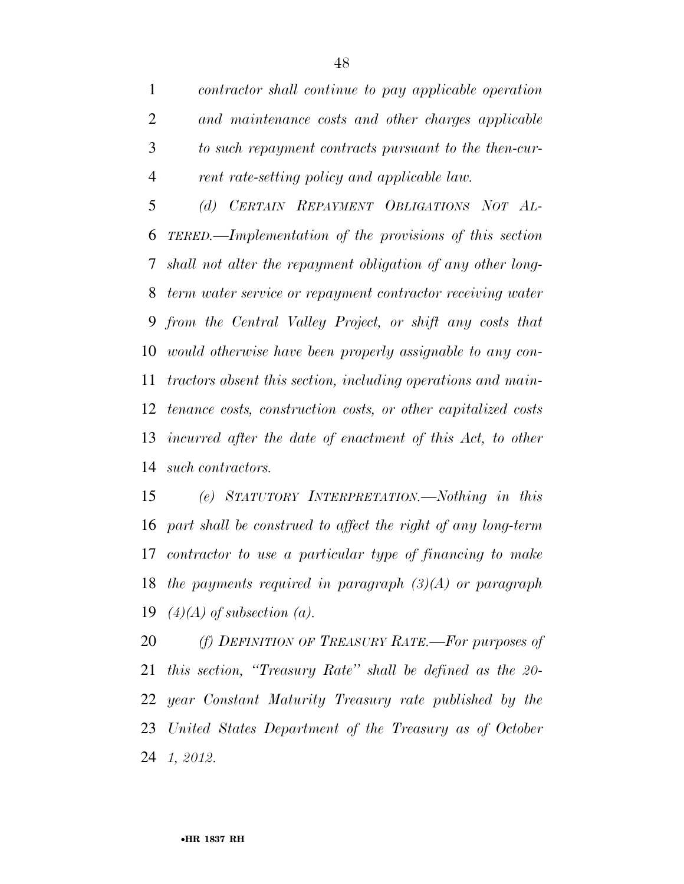*contractor shall continue to pay applicable operation and maintenance costs and other charges applicable to such repayment contracts pursuant to the then-cur-rent rate-setting policy and applicable law.* 

 *(d) CERTAIN REPAYMENT OBLIGATIONS NOT AL- TERED.—Implementation of the provisions of this section shall not alter the repayment obligation of any other long- term water service or repayment contractor receiving water from the Central Valley Project, or shift any costs that would otherwise have been properly assignable to any con- tractors absent this section, including operations and main- tenance costs, construction costs, or other capitalized costs incurred after the date of enactment of this Act, to other such contractors.* 

 *(e) STATUTORY INTERPRETATION.—Nothing in this part shall be construed to affect the right of any long-term contractor to use a particular type of financing to make the payments required in paragraph (3)(A) or paragraph (4)(A) of subsection (a).* 

 *(f) DEFINITION OF TREASURY RATE.—For purposes of this section, ''Treasury Rate'' shall be defined as the 20- year Constant Maturity Treasury rate published by the United States Department of the Treasury as of October 1, 2012.*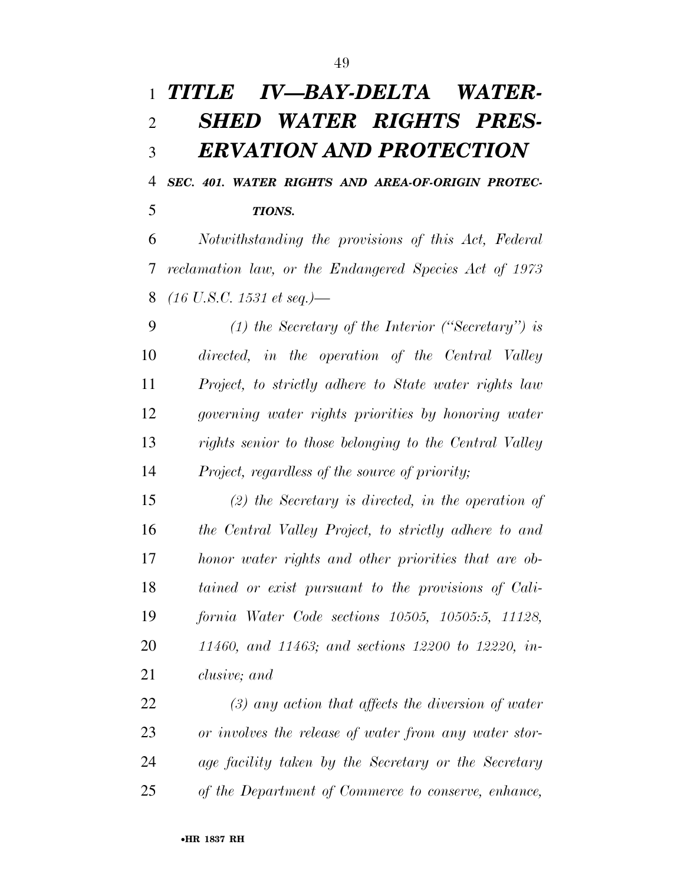## *TITLE IV—BAY-DELTA WATER- SHED WATER RIGHTS PRES-ERVATION AND PROTECTION*

 *SEC. 401. WATER RIGHTS AND AREA-OF-ORIGIN PROTEC-TIONS.* 

 *Notwithstanding the provisions of this Act, Federal reclamation law, or the Endangered Species Act of 1973 (16 U.S.C. 1531 et seq.)—* 

 *(1) the Secretary of the Interior (''Secretary'') is directed, in the operation of the Central Valley Project, to strictly adhere to State water rights law governing water rights priorities by honoring water rights senior to those belonging to the Central Valley Project, regardless of the source of priority;* 

 *(2) the Secretary is directed, in the operation of the Central Valley Project, to strictly adhere to and honor water rights and other priorities that are ob- tained or exist pursuant to the provisions of Cali- fornia Water Code sections 10505, 10505:5, 11128, 11460, and 11463; and sections 12200 to 12220, in-clusive; and* 

 *(3) any action that affects the diversion of water or involves the release of water from any water stor- age facility taken by the Secretary or the Secretary of the Department of Commerce to conserve, enhance,*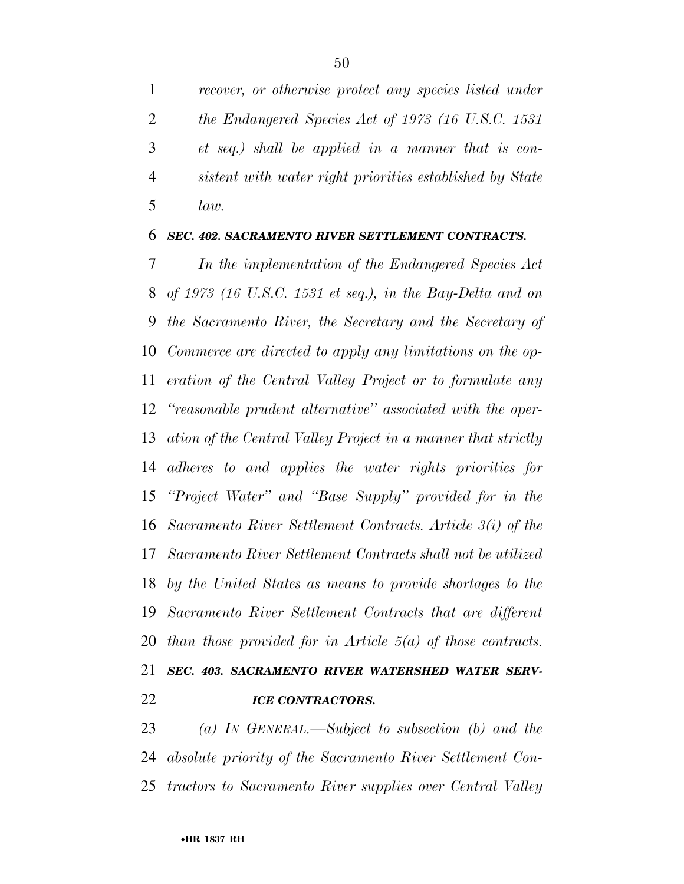*recover, or otherwise protect any species listed under the Endangered Species Act of 1973 (16 U.S.C. 1531 et seq.) shall be applied in a manner that is con- sistent with water right priorities established by State law.* 

### *SEC. 402. SACRAMENTO RIVER SETTLEMENT CONTRACTS.*

 *In the implementation of the Endangered Species Act of 1973 (16 U.S.C. 1531 et seq.), in the Bay-Delta and on the Sacramento River, the Secretary and the Secretary of Commerce are directed to apply any limitations on the op- eration of the Central Valley Project or to formulate any ''reasonable prudent alternative'' associated with the oper- ation of the Central Valley Project in a manner that strictly adheres to and applies the water rights priorities for ''Project Water'' and ''Base Supply'' provided for in the Sacramento River Settlement Contracts. Article 3(i) of the Sacramento River Settlement Contracts shall not be utilized by the United States as means to provide shortages to the Sacramento River Settlement Contracts that are different than those provided for in Article 5(a) of those contracts. SEC. 403. SACRAMENTO RIVER WATERSHED WATER SERV-ICE CONTRACTORS.* 

 *(a) IN GENERAL.—Subject to subsection (b) and the absolute priority of the Sacramento River Settlement Con-tractors to Sacramento River supplies over Central Valley*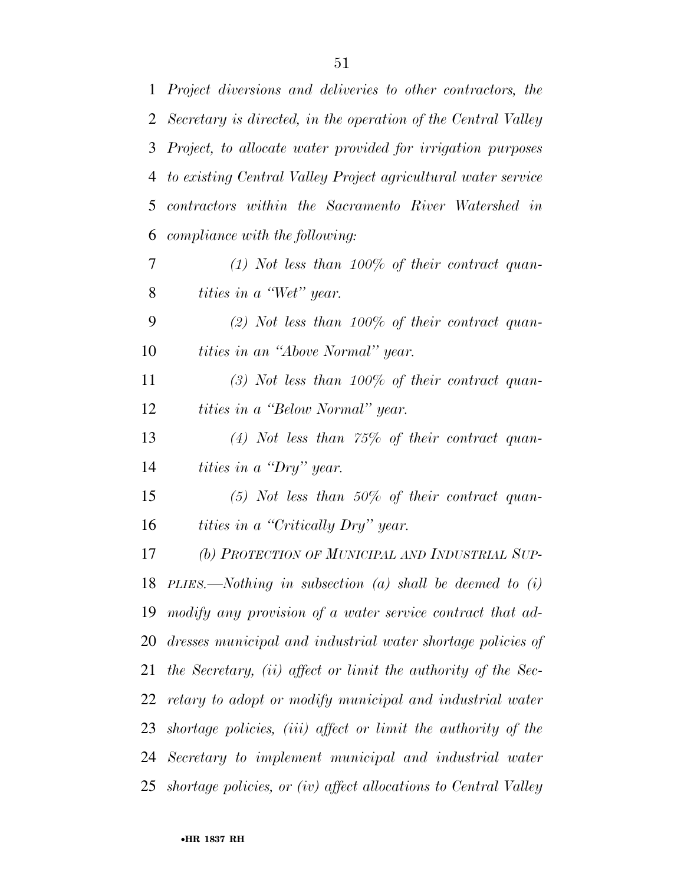| $\mathbf{1}$ | Project diversions and deliveries to other contractors, the     |
|--------------|-----------------------------------------------------------------|
|              | 2 Secretary is directed, in the operation of the Central Valley |
| 3            | Project, to allocate water provided for irrigation purposes     |
| 4            | to existing Central Valley Project agricultural water service   |
| 5            | contractors within the Sacramento River Watershed in            |
| 6            | compliance with the following:                                  |
| 7            | $(1)$ Not less than 100% of their contract quan-                |
| 8            | <i>tities in a "Wet" year.</i>                                  |
| 9            | $(2)$ Not less than 100% of their contract quan-                |
| 10           | <i>tities in an "Above Normal" year.</i>                        |
| 11           | $(3)$ Not less than 100% of their contract quan-                |
| 12           | <i>tities in a "Below Normal" year.</i>                         |
| 13           | $(4)$ Not less than 75% of their contract quan-                 |
| 14           | <i>tities in a "Dry" year.</i>                                  |
| 15           | $(5)$ Not less than 50% of their contract quan-                 |
| 16           | tities in a "Critically Dry" year.                              |
| 17           | (b) PROTECTION OF MUNICIPAL AND INDUSTRIAL SUP-                 |
|              | 18 PLIES.—Nothing in subsection (a) shall be deemed to $(i)$    |
|              | 19 modify any provision of a water service contract that ad-    |
|              | 20 dresses municipal and industrial water shortage policies of  |
| 21           | the Secretary, (ii) affect or limit the authority of the Sec-   |
| 22           | retary to adopt or modify municipal and industrial water        |
| 23           | shortage policies, (iii) affect or limit the authority of the   |
|              | 24 Secretary to implement municipal and industrial water        |
| 25           | shortage policies, or (iv) affect allocations to Central Valley |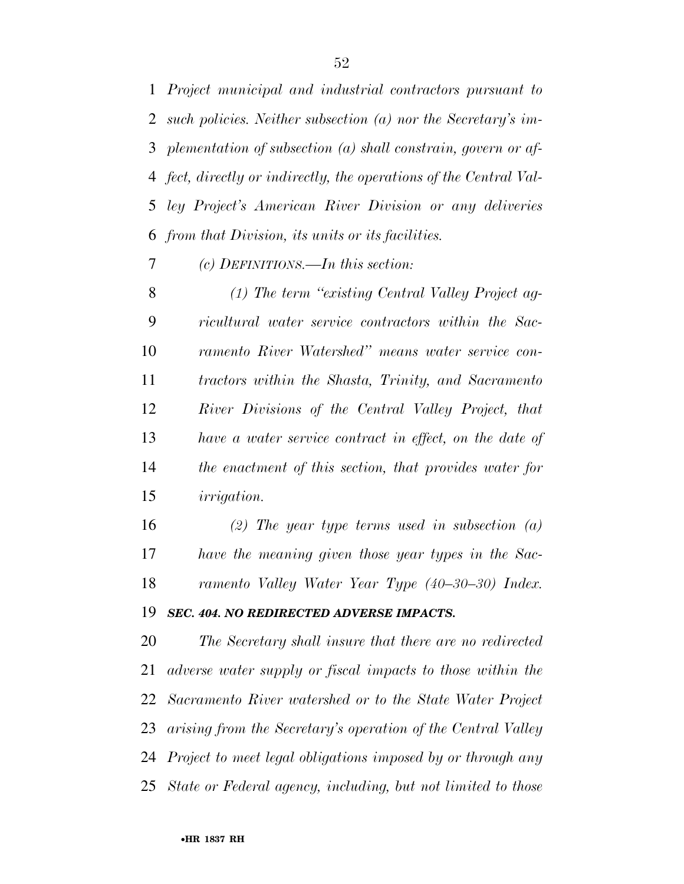*Project municipal and industrial contractors pursuant to such policies. Neither subsection (a) nor the Secretary's im- plementation of subsection (a) shall constrain, govern or af- fect, directly or indirectly, the operations of the Central Val- ley Project's American River Division or any deliveries from that Division, its units or its facilities.* 

*(c) DEFINITIONS.—In this section:* 

 *(1) The term ''existing Central Valley Project ag- ricultural water service contractors within the Sac- ramento River Watershed'' means water service con- tractors within the Shasta, Trinity, and Sacramento River Divisions of the Central Valley Project, that have a water service contract in effect, on the date of the enactment of this section, that provides water for irrigation.* 

 *(2) The year type terms used in subsection (a) have the meaning given those year types in the Sac-ramento Valley Water Year Type (40–30–30) Index.* 

### *SEC. 404. NO REDIRECTED ADVERSE IMPACTS.*

 *The Secretary shall insure that there are no redirected adverse water supply or fiscal impacts to those within the Sacramento River watershed or to the State Water Project arising from the Secretary's operation of the Central Valley Project to meet legal obligations imposed by or through any State or Federal agency, including, but not limited to those*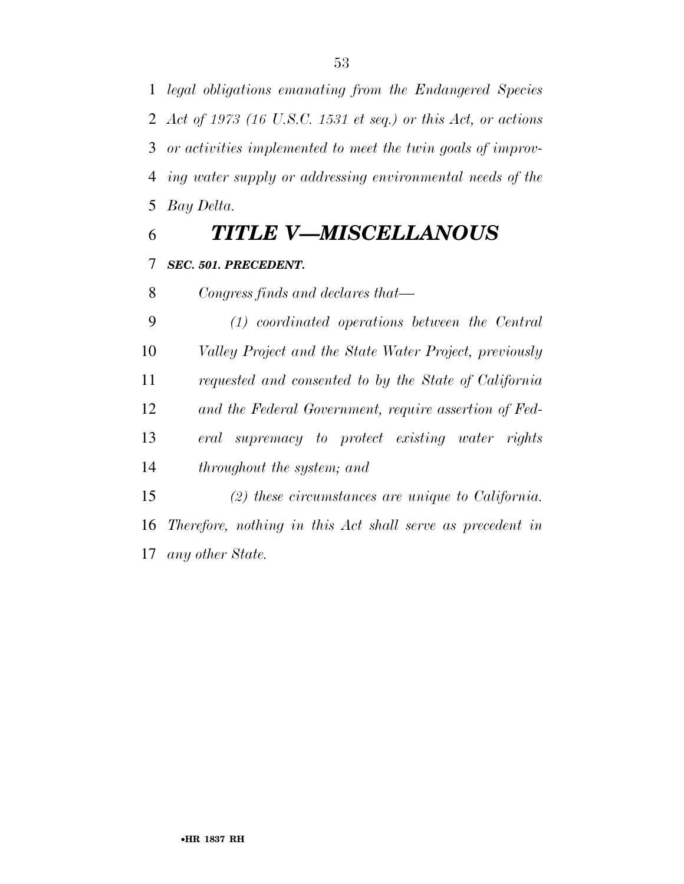*legal obligations emanating from the Endangered Species Act of 1973 (16 U.S.C. 1531 et seq.) or this Act, or actions or activities implemented to meet the twin goals of improv- ing water supply or addressing environmental needs of the Bay Delta.* 

*TITLE V—MISCELLANOUS* 

### *SEC. 501. PRECEDENT.*

*Congress finds and declares that—* 

 *(1) coordinated operations between the Central Valley Project and the State Water Project, previously requested and consented to by the State of California and the Federal Government, require assertion of Fed- eral supremacy to protect existing water rights throughout the system; and* 

 *(2) these circumstances are unique to California. Therefore, nothing in this Act shall serve as precedent in any other State.*